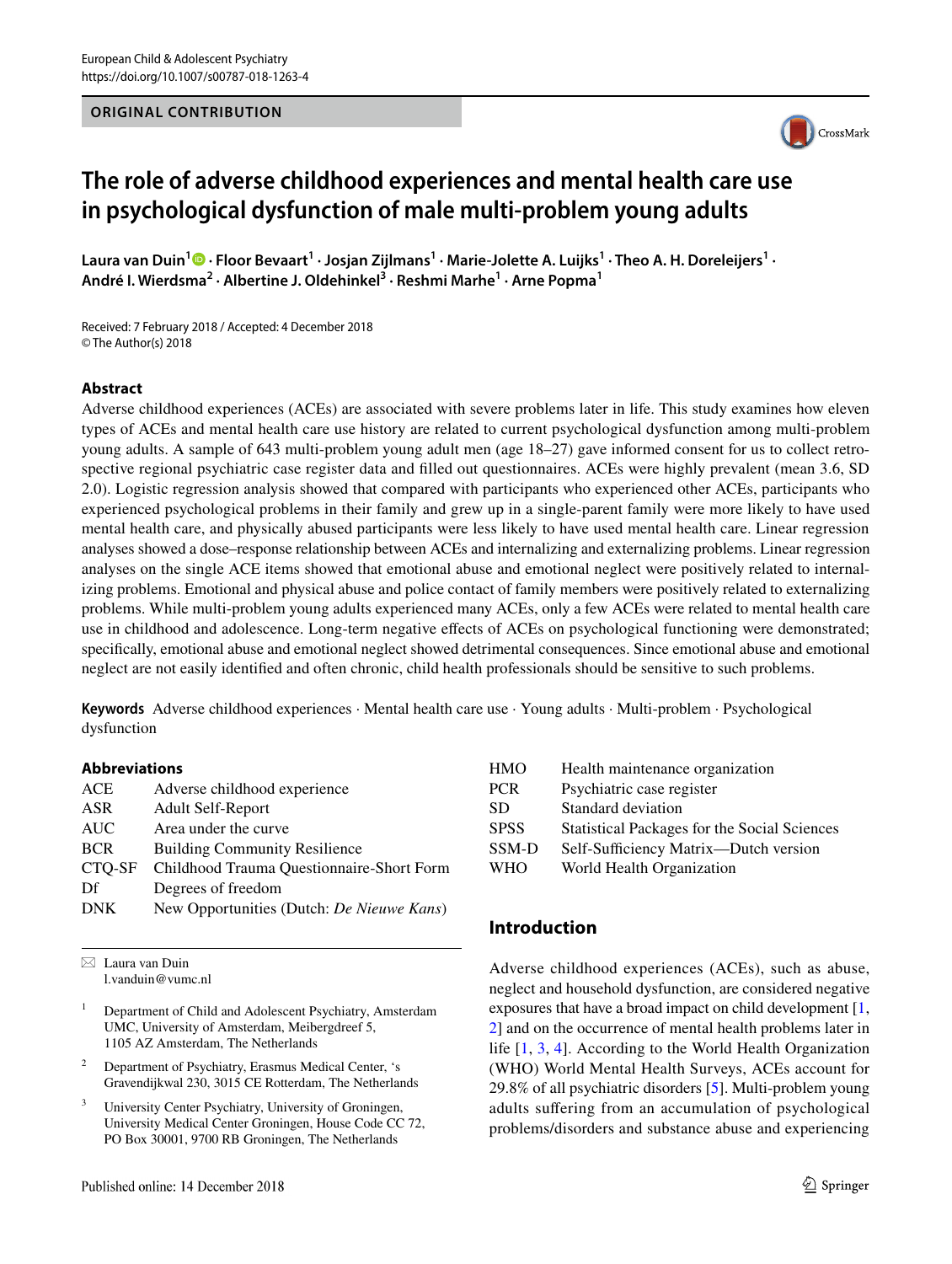## **ORIGINAL CONTRIBUTION**



# **The role of adverse childhood experiences and mental health care use in psychological dysfunction of male multi‑problem young adults**

Laura van Duin<sup>1</sup>® [·](http://orcid.org/0000-0002-8252-7185) Floor Bevaart<sup>1</sup> · Josjan Zijlmans<sup>1</sup> · Marie-Jolette A. Luijks<sup>1</sup> · Theo A. H. Doreleijers<sup>1</sup> · **André I. Wierdsma2 · Albertine J. Oldehinkel3 · Reshmi Marhe1 · Arne Popma1**

Received: 7 February 2018 / Accepted: 4 December 2018 © The Author(s) 2018

## **Abstract**

Adverse childhood experiences (ACEs) are associated with severe problems later in life. This study examines how eleven types of ACEs and mental health care use history are related to current psychological dysfunction among multi-problem young adults. A sample of 643 multi-problem young adult men (age 18–27) gave informed consent for us to collect retrospective regional psychiatric case register data and flled out questionnaires. ACEs were highly prevalent (mean 3.6, SD 2.0). Logistic regression analysis showed that compared with participants who experienced other ACEs, participants who experienced psychological problems in their family and grew up in a single-parent family were more likely to have used mental health care, and physically abused participants were less likely to have used mental health care. Linear regression analyses showed a dose–response relationship between ACEs and internalizing and externalizing problems. Linear regression analyses on the single ACE items showed that emotional abuse and emotional neglect were positively related to internalizing problems. Emotional and physical abuse and police contact of family members were positively related to externalizing problems. While multi-problem young adults experienced many ACEs, only a few ACEs were related to mental health care use in childhood and adolescence. Long-term negative efects of ACEs on psychological functioning were demonstrated; specifcally, emotional abuse and emotional neglect showed detrimental consequences. Since emotional abuse and emotional neglect are not easily identifed and often chronic, child health professionals should be sensitive to such problems.

**Keywords** Adverse childhood experiences · Mental health care use · Young adults · Multi-problem · Psychological dysfunction

## **Abbreviations**

| ACE        | Adverse childhood experience              |
|------------|-------------------------------------------|
| <b>ASR</b> | <b>Adult Self-Report</b>                  |
| <b>AUC</b> | Area under the curve                      |
| <b>BCR</b> | <b>Building Community Resilience</b>      |
| CTQ-SF     | Childhood Trauma Questionnaire-Short Form |
| Df         | Degrees of freedom                        |
| <b>DNK</b> | New Opportunities (Dutch: De Nieuwe Kans) |

 $\boxtimes$  Laura van Duin l.vanduin@vumc.nl

- <sup>1</sup> Department of Child and Adolescent Psychiatry, Amsterdam UMC, University of Amsterdam, Meibergdreef 5, 1105 AZ Amsterdam, The Netherlands
- <sup>2</sup> Department of Psychiatry, Erasmus Medical Center, 's Gravendijkwal 230, 3015 CE Rotterdam, The Netherlands
- University Center Psychiatry, University of Groningen, University Medical Center Groningen, House Code CC 72, PO Box 30001, 9700 RB Groningen, The Netherlands

| <b>HMO</b>  | Health maintenance organization                     |
|-------------|-----------------------------------------------------|
| <b>PCR</b>  | Psychiatric case register                           |
| <b>SD</b>   | Standard deviation                                  |
| <b>SPSS</b> | <b>Statistical Packages for the Social Sciences</b> |
| SSM-D       | Self-Sufficiency Matrix—Dutch version               |
| <b>WHO</b>  | World Health Organization                           |
|             |                                                     |

# **Introduction**

Adverse childhood experiences (ACEs), such as abuse, neglect and household dysfunction, are considered negative exposures that have a broad impact on child development [[1,](#page-11-0) [2](#page-11-1)] and on the occurrence of mental health problems later in life [[1,](#page-11-0) [3](#page-11-2), [4](#page-11-3)]. According to the World Health Organization (WHO) World Mental Health Surveys, ACEs account for 29.8% of all psychiatric disorders [[5\]](#page-11-4). Multi-problem young adults sufering from an accumulation of psychological problems/disorders and substance abuse and experiencing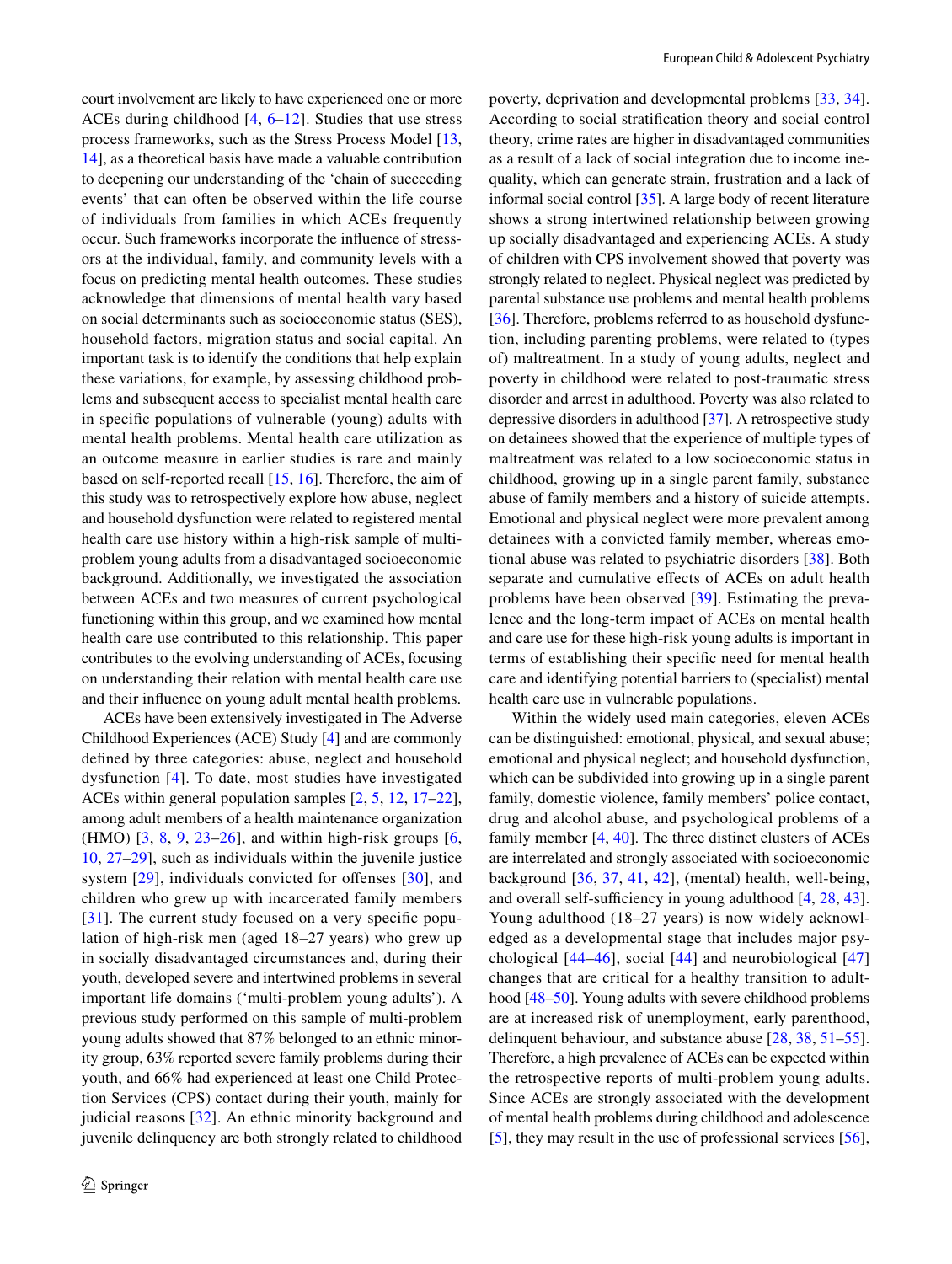court involvement are likely to have experienced one or more ACEs during childhood [\[4,](#page-11-3) [6](#page-11-5)–[12\]](#page-11-6). Studies that use stress process frameworks, such as the Stress Process Model [[13,](#page-11-7) [14](#page-11-8)], as a theoretical basis have made a valuable contribution to deepening our understanding of the 'chain of succeeding events' that can often be observed within the life course of individuals from families in which ACEs frequently occur. Such frameworks incorporate the infuence of stressors at the individual, family, and community levels with a focus on predicting mental health outcomes. These studies acknowledge that dimensions of mental health vary based on social determinants such as socioeconomic status (SES), household factors, migration status and social capital. An important task is to identify the conditions that help explain these variations, for example, by assessing childhood problems and subsequent access to specialist mental health care in specifc populations of vulnerable (young) adults with mental health problems. Mental health care utilization as an outcome measure in earlier studies is rare and mainly based on self-reported recall [\[15](#page-11-9), [16](#page-11-10)]. Therefore, the aim of this study was to retrospectively explore how abuse, neglect and household dysfunction were related to registered mental health care use history within a high-risk sample of multiproblem young adults from a disadvantaged socioeconomic background. Additionally, we investigated the association between ACEs and two measures of current psychological functioning within this group, and we examined how mental health care use contributed to this relationship. This paper contributes to the evolving understanding of ACEs, focusing on understanding their relation with mental health care use and their infuence on young adult mental health problems.

 ACEs have been extensively investigated in The Adverse Childhood Experiences (ACE) Study [[4\]](#page-11-3) and are commonly defned by three categories: abuse, neglect and household dysfunction [\[4\]](#page-11-3). To date, most studies have investigated ACEs within general population samples [\[2,](#page-11-1) [5,](#page-11-4) [12,](#page-11-6) [17](#page-11-11)[–22](#page-11-12)], among adult members of a health maintenance organization (HMO) [[3,](#page-11-2) [8,](#page-11-13) [9,](#page-11-14) [23](#page-11-15)[–26\]](#page-11-16), and within high-risk groups [\[6,](#page-11-5) [10](#page-11-17), [27–](#page-11-18)[29](#page-11-19)], such as individuals within the juvenile justice system [\[29\]](#page-11-19), individuals convicted for offenses [[30](#page-11-20)], and children who grew up with incarcerated family members [[31\]](#page-11-21). The current study focused on a very specific population of high-risk men (aged 18–27 years) who grew up in socially disadvantaged circumstances and, during their youth, developed severe and intertwined problems in several important life domains ('multi-problem young adults'). A previous study performed on this sample of multi-problem young adults showed that 87% belonged to an ethnic minority group, 63% reported severe family problems during their youth, and 66% had experienced at least one Child Protection Services (CPS) contact during their youth, mainly for judicial reasons [\[32](#page-11-22)]. An ethnic minority background and juvenile delinquency are both strongly related to childhood

poverty, deprivation and developmental problems [[33](#page-12-0), [34](#page-12-1)]. According to social stratifcation theory and social control theory, crime rates are higher in disadvantaged communities as a result of a lack of social integration due to income inequality, which can generate strain, frustration and a lack of informal social control [[35\]](#page-12-2). A large body of recent literature shows a strong intertwined relationship between growing up socially disadvantaged and experiencing ACEs. A study of children with CPS involvement showed that poverty was strongly related to neglect. Physical neglect was predicted by parental substance use problems and mental health problems [\[36\]](#page-12-3). Therefore, problems referred to as household dysfunction, including parenting problems, were related to (types of) maltreatment. In a study of young adults, neglect and poverty in childhood were related to post-traumatic stress disorder and arrest in adulthood. Poverty was also related to depressive disorders in adulthood [\[37\]](#page-12-4). A retrospective study on detainees showed that the experience of multiple types of maltreatment was related to a low socioeconomic status in childhood, growing up in a single parent family, substance abuse of family members and a history of suicide attempts. Emotional and physical neglect were more prevalent among detainees with a convicted family member, whereas emotional abuse was related to psychiatric disorders [\[38](#page-12-5)]. Both separate and cumulative efects of ACEs on adult health problems have been observed [[39\]](#page-12-6). Estimating the prevalence and the long-term impact of ACEs on mental health and care use for these high-risk young adults is important in terms of establishing their specifc need for mental health care and identifying potential barriers to (specialist) mental health care use in vulnerable populations.

 Within the widely used main categories, eleven ACEs can be distinguished: emotional, physical, and sexual abuse; emotional and physical neglect; and household dysfunction, which can be subdivided into growing up in a single parent family, domestic violence, family members' police contact, drug and alcohol abuse, and psychological problems of a family member [[4,](#page-11-3) [40\]](#page-12-7). The three distinct clusters of ACEs are interrelated and strongly associated with socioeconomic background [[36](#page-12-3), [37](#page-12-4), [41](#page-12-8), [42](#page-12-9)], (mental) health, well-being, and overall self-sufficiency in young adulthood  $[4, 28, 43]$  $[4, 28, 43]$  $[4, 28, 43]$  $[4, 28, 43]$  $[4, 28, 43]$  $[4, 28, 43]$  $[4, 28, 43]$ . Young adulthood (18–27 years) is now widely acknowledged as a developmental stage that includes major psychological [\[44–](#page-12-11)[46](#page-12-12)], social [[44](#page-12-11)] and neurobiological [[47](#page-12-13)] changes that are critical for a healthy transition to adulthood [\[48](#page-12-14)[–50](#page-12-15)]. Young adults with severe childhood problems are at increased risk of unemployment, early parenthood, delinquent behaviour, and substance abuse [\[28](#page-11-23), [38](#page-12-5), [51](#page-12-16)[–55](#page-12-17)]. Therefore, a high prevalence of ACEs can be expected within the retrospective reports of multi-problem young adults. Since ACEs are strongly associated with the development of mental health problems during childhood and adolescence [[5\]](#page-11-4), they may result in the use of professional services [\[56](#page-12-18)],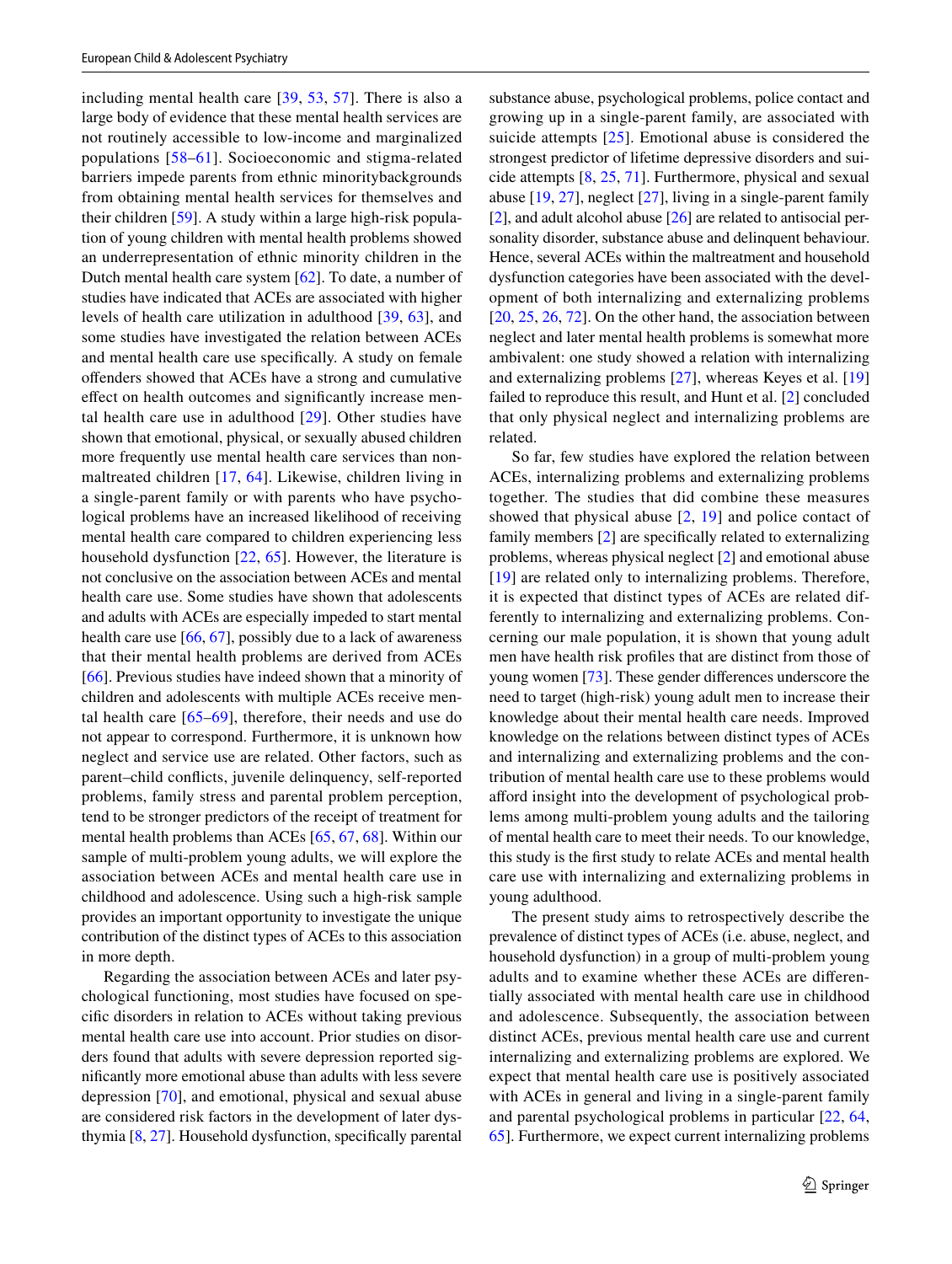including mental health care [[39,](#page-12-6) [53,](#page-12-19) [57\]](#page-12-20). There is also a large body of evidence that these mental health services are not routinely accessible to low-income and marginalized populations [[58](#page-12-21)–[61](#page-12-22)]. Socioeconomic and stigma-related barriers impede parents from ethnic minoritybackgrounds from obtaining mental health services for themselves and their children [\[59\]](#page-12-23). A study within a large high-risk population of young children with mental health problems showed an underrepresentation of ethnic minority children in the Dutch mental health care system [[62\]](#page-12-24). To date, a number of studies have indicated that ACEs are associated with higher levels of health care utilization in adulthood [[39,](#page-12-6) [63\]](#page-12-25), and some studies have investigated the relation between ACEs and mental health care use specifcally. A study on female ofenders showed that ACEs have a strong and cumulative efect on health outcomes and signifcantly increase mental health care use in adulthood [\[29\]](#page-11-19). Other studies have shown that emotional, physical, or sexually abused children more frequently use mental health care services than nonmaltreated children [\[17](#page-11-11), [64\]](#page-12-26). Likewise, children living in a single-parent family or with parents who have psychological problems have an increased likelihood of receiving mental health care compared to children experiencing less household dysfunction [\[22,](#page-11-12) [65](#page-12-27)]. However, the literature is not conclusive on the association between ACEs and mental health care use. Some studies have shown that adolescents and adults with ACEs are especially impeded to start mental health care use [\[66](#page-12-28), [67](#page-12-29)], possibly due to a lack of awareness that their mental health problems are derived from ACEs [\[66\]](#page-12-28). Previous studies have indeed shown that a minority of children and adolescents with multiple ACEs receive mental health care [[65](#page-12-27)–[69\]](#page-13-0), therefore, their needs and use do not appear to correspond. Furthermore, it is unknown how neglect and service use are related. Other factors, such as parent–child conficts, juvenile delinquency, self-reported problems, family stress and parental problem perception, tend to be stronger predictors of the receipt of treatment for mental health problems than ACEs [\[65](#page-12-27), [67](#page-12-29), [68](#page-12-30)]. Within our sample of multi-problem young adults, we will explore the association between ACEs and mental health care use in childhood and adolescence. Using such a high-risk sample provides an important opportunity to investigate the unique contribution of the distinct types of ACEs to this association in more depth.

 Regarding the association between ACEs and later psychological functioning, most studies have focused on specifc disorders in relation to ACEs without taking previous mental health care use into account. Prior studies on disorders found that adults with severe depression reported signifcantly more emotional abuse than adults with less severe depression [[70\]](#page-13-1), and emotional, physical and sexual abuse are considered risk factors in the development of later dysthymia [\[8](#page-11-13), [27\]](#page-11-18). Household dysfunction, specifcally parental substance abuse, psychological problems, police contact and growing up in a single-parent family, are associated with suicide attempts [[25](#page-11-24)]. Emotional abuse is considered the strongest predictor of lifetime depressive disorders and suicide attempts [[8,](#page-11-13) [25,](#page-11-24) [71](#page-13-2)]. Furthermore, physical and sexual abuse [[19,](#page-11-25) [27\]](#page-11-18), neglect [[27\]](#page-11-18), living in a single-parent family [\[2](#page-11-1)], and adult alcohol abuse [\[26\]](#page-11-16) are related to antisocial personality disorder, substance abuse and delinquent behaviour. Hence, several ACEs within the maltreatment and household dysfunction categories have been associated with the development of both internalizing and externalizing problems [[20,](#page-11-26) [25](#page-11-24), [26](#page-11-16), [72](#page-13-3)]. On the other hand, the association between neglect and later mental health problems is somewhat more ambivalent: one study showed a relation with internalizing and externalizing problems [[27\]](#page-11-18), whereas Keyes et al. [[19\]](#page-11-25) failed to reproduce this result, and Hunt et al. [\[2](#page-11-1)] concluded that only physical neglect and internalizing problems are related.

 So far, few studies have explored the relation between ACEs, internalizing problems and externalizing problems together. The studies that did combine these measures showed that physical abuse [\[2,](#page-11-1) [19\]](#page-11-25) and police contact of family members [\[2](#page-11-1)] are specifcally related to externalizing problems, whereas physical neglect [\[2](#page-11-1)] and emotional abuse [[19\]](#page-11-25) are related only to internalizing problems. Therefore, it is expected that distinct types of ACEs are related differently to internalizing and externalizing problems. Concerning our male population, it is shown that young adult men have health risk profles that are distinct from those of young women [[73\]](#page-13-4). These gender diferences underscore the need to target (high-risk) young adult men to increase their knowledge about their mental health care needs. Improved knowledge on the relations between distinct types of ACEs and internalizing and externalizing problems and the contribution of mental health care use to these problems would aford insight into the development of psychological problems among multi-problem young adults and the tailoring of mental health care to meet their needs. To our knowledge, this study is the frst study to relate ACEs and mental health care use with internalizing and externalizing problems in young adulthood.

 The present study aims to retrospectively describe the prevalence of distinct types of ACEs (i.e. abuse, neglect, and household dysfunction) in a group of multi-problem young adults and to examine whether these ACEs are diferentially associated with mental health care use in childhood and adolescence. Subsequently, the association between distinct ACEs, previous mental health care use and current internalizing and externalizing problems are explored. We expect that mental health care use is positively associated with ACEs in general and living in a single-parent family and parental psychological problems in particular [[22](#page-11-12), [64,](#page-12-26) [65](#page-12-27)]. Furthermore, we expect current internalizing problems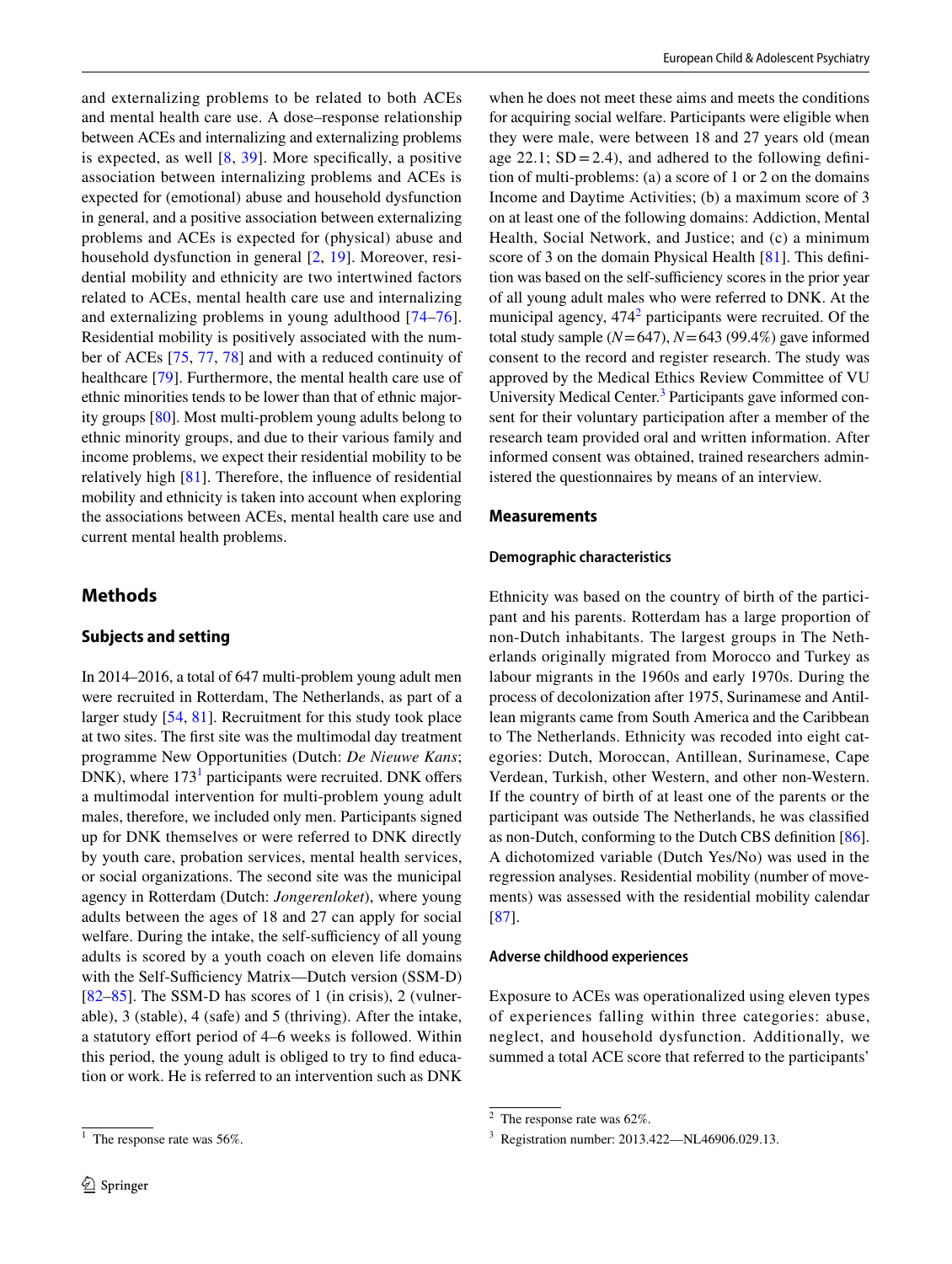and externalizing problems to be related to both ACEs and mental health care use. A dose–response relationship between ACEs and internalizing and externalizing problems is expected, as well  $[8, 39]$  $[8, 39]$  $[8, 39]$  $[8, 39]$  $[8, 39]$ . More specifically, a positive association between internalizing problems and ACEs is expected for (emotional) abuse and household dysfunction in general, and a positive association between externalizing problems and ACEs is expected for (physical) abuse and household dysfunction in general [\[2,](#page-11-1) [19](#page-11-25)]. Moreover, residential mobility and ethnicity are two intertwined factors related to ACEs, mental health care use and internalizing and externalizing problems in young adulthood [\[74–](#page-13-5)[76](#page-13-6)]. Residential mobility is positively associated with the number of ACEs [\[75](#page-13-7), [77](#page-13-8), [78\]](#page-13-9) and with a reduced continuity of healthcare [[79\]](#page-13-10). Furthermore, the mental health care use of ethnic minorities tends to be lower than that of ethnic majority groups [[80\]](#page-13-11). Most multi-problem young adults belong to ethnic minority groups, and due to their various family and income problems, we expect their residential mobility to be relatively high [\[81](#page-13-12)]. Therefore, the infuence of residential mobility and ethnicity is taken into account when exploring the associations between ACEs, mental health care use and current mental health problems.

# **Methods**

# **Subjects and setting**

In 2014–2016, a total of 647 multi-problem young adult men were recruited in Rotterdam, The Netherlands, as part of a larger study [[54,](#page-12-31) [81](#page-13-12)]. Recruitment for this study took place at two sites. The frst site was the multimodal day treatment programme New Opportunities (Dutch: *De Nieuwe Kans*;  $DNK$ ), where  $173<sup>1</sup>$  $173<sup>1</sup>$  participants were recruited. DNK offers a multimodal intervention for multi-problem young adult males, therefore, we included only men. Participants signed up for DNK themselves or were referred to DNK directly by youth care, probation services, mental health services, or social organizations. The second site was the municipal agency in Rotterdam (Dutch: *Jongerenloket*), where young adults between the ages of 18 and 27 can apply for social welfare. During the intake, the self-sufficiency of all young adults is scored by a youth coach on eleven life domains with the Self-Sufficiency Matrix—Dutch version (SSM-D) [\[82–](#page-13-13)[85\]](#page-13-14). The SSM-D has scores of 1 (in crisis), 2 (vulnerable), 3 (stable), 4 (safe) and 5 (thriving). After the intake, a statutory effort period of 4–6 weeks is followed. Within this period, the young adult is obliged to try to fnd education or work. He is referred to an intervention such as DNK

when he does not meet these aims and meets the conditions for acquiring social welfare. Participants were eligible when they were male, were between 18 and 27 years old (mean age 22.1;  $SD = 2.4$ ), and adhered to the following definition of multi-problems: (a) a score of 1 or 2 on the domains Income and Daytime Activities; (b) a maximum score of 3 on at least one of the following domains: Addiction, Mental Health, Social Network, and Justice; and (c) a minimum score of 3 on the domain Physical Health [[81\]](#page-13-12). This definition was based on the self-sufficiency scores in the prior year of all young adult males who were referred to DNK. At the municipal agency,  $474<sup>2</sup>$  $474<sup>2</sup>$  $474<sup>2</sup>$  participants were recruited. Of the total study sample  $(N=647)$ ,  $N=643$  (99.4%) gave informed consent to the record and register research. The study was approved by the Medical Ethics Review Committee of VU University Medical Center.<sup>3</sup> Participants gave informed consent for their voluntary participation after a member of the research team provided oral and written information. After informed consent was obtained, trained researchers administered the questionnaires by means of an interview.

## **Measurements**

## **Demographic characteristics**

Ethnicity was based on the country of birth of the participant and his parents. Rotterdam has a large proportion of non-Dutch inhabitants. The largest groups in The Netherlands originally migrated from Morocco and Turkey as labour migrants in the 1960s and early 1970s. During the process of decolonization after 1975, Surinamese and Antillean migrants came from South America and the Caribbean to The Netherlands. Ethnicity was recoded into eight categories: Dutch, Moroccan, Antillean, Surinamese, Cape Verdean, Turkish, other Western, and other non-Western. If the country of birth of at least one of the parents or the participant was outside The Netherlands, he was classifed as non-Dutch, conforming to the Dutch CBS defnition [\[86](#page-13-15)]. A dichotomized variable (Dutch Yes/No) was used in the regression analyses. Residential mobility (number of movements) was assessed with the residential mobility calendar [[87\]](#page-13-16).

#### **Adverse childhood experiences**

Exposure to ACEs was operationalized using eleven types of experiences falling within three categories: abuse, neglect, and household dysfunction. Additionally, we summed a total ACE score that referred to the participants'

<span id="page-3-0"></span>The response rate was 56%.

<span id="page-3-1"></span><sup>2</sup> The response rate was 62%.

<span id="page-3-2"></span><sup>3</sup> Registration number: 2013.422—NL46906.029.13.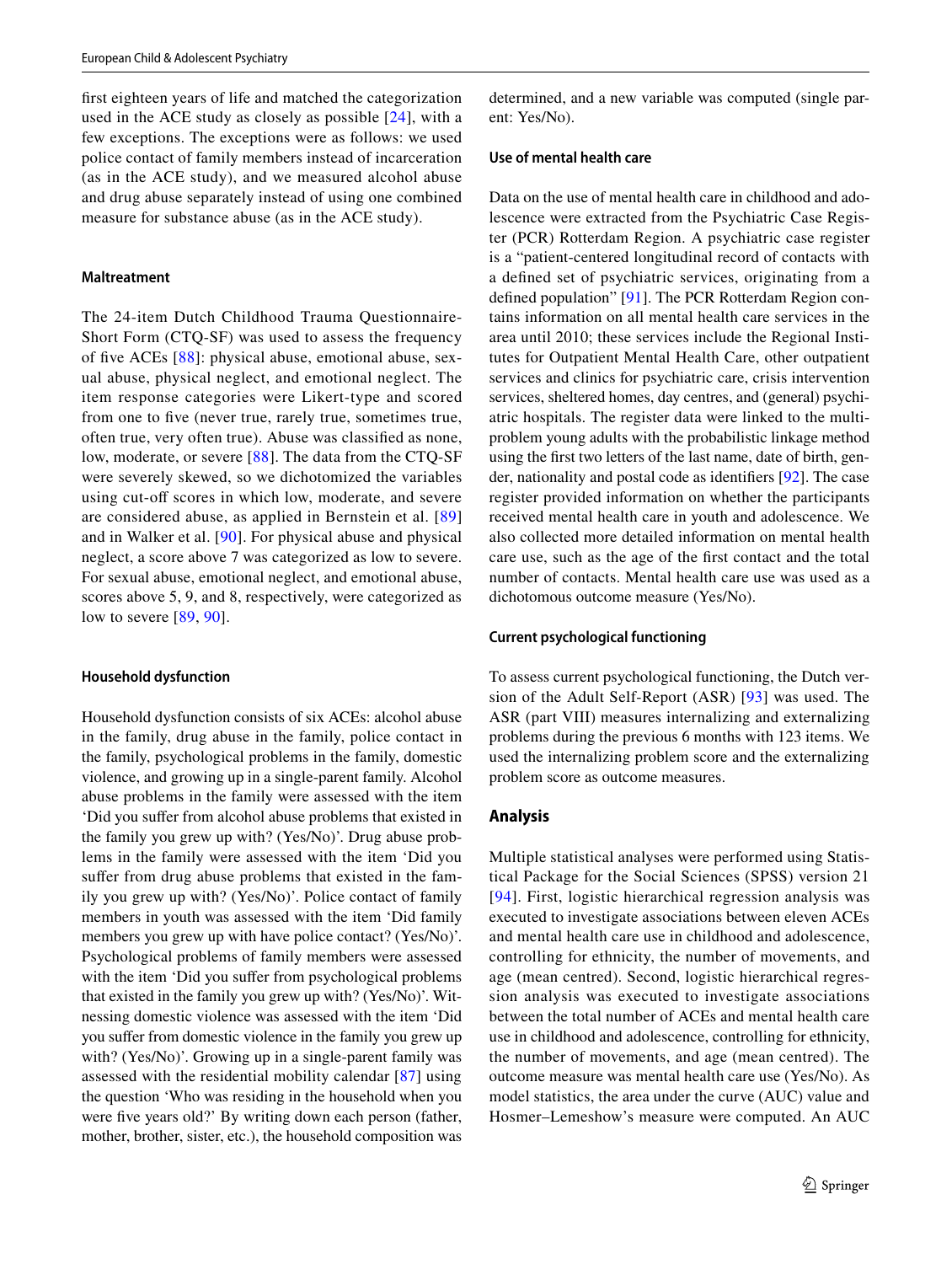frst eighteen years of life and matched the categorization used in the ACE study as closely as possible [[24](#page-11-27)], with a few exceptions. The exceptions were as follows: we used police contact of family members instead of incarceration (as in the ACE study), and we measured alcohol abuse and drug abuse separately instead of using one combined measure for substance abuse (as in the ACE study).

#### **Maltreatment**

The 24-item Dutch Childhood Trauma Questionnaire-Short Form (CTQ-SF) was used to assess the frequency of fve ACEs [[88](#page-13-17)]: physical abuse, emotional abuse, sexual abuse, physical neglect, and emotional neglect. The item response categories were Likert-type and scored from one to five (never true, rarely true, sometimes true, often true, very often true). Abuse was classifed as none, low, moderate, or severe [\[88\]](#page-13-17). The data from the CTQ-SF were severely skewed, so we dichotomized the variables using cut-off scores in which low, moderate, and severe are considered abuse, as applied in Bernstein et al. [\[89\]](#page-13-18) and in Walker et al. [[90](#page-13-19)]. For physical abuse and physical neglect, a score above 7 was categorized as low to severe. For sexual abuse, emotional neglect, and emotional abuse, scores above 5, 9, and 8, respectively, were categorized as low to severe [[89](#page-13-18), [90\]](#page-13-19).

#### **Household dysfunction**

Household dysfunction consists of six ACEs: alcohol abuse in the family, drug abuse in the family, police contact in the family, psychological problems in the family, domestic violence, and growing up in a single-parent family. Alcohol abuse problems in the family were assessed with the item 'Did you sufer from alcohol abuse problems that existed in the family you grew up with? (Yes/No)'. Drug abuse problems in the family were assessed with the item 'Did you suffer from drug abuse problems that existed in the family you grew up with? (Yes/No)'. Police contact of family members in youth was assessed with the item 'Did family members you grew up with have police contact? (Yes/No)'. Psychological problems of family members were assessed with the item 'Did you suffer from psychological problems that existed in the family you grew up with? (Yes/No)'. Witnessing domestic violence was assessed with the item 'Did you suffer from domestic violence in the family you grew up with? (Yes/No)'. Growing up in a single-parent family was assessed with the residential mobility calendar [\[87\]](#page-13-16) using the question 'Who was residing in the household when you were five years old?' By writing down each person (father, mother, brother, sister, etc.), the household composition was

determined, and a new variable was computed (single parent: Yes/No).

## **Use of mental health care**

Data on the use of mental health care in childhood and adolescence were extracted from the Psychiatric Case Register (PCR) Rotterdam Region. A psychiatric case register is a "patient-centered longitudinal record of contacts with a defned set of psychiatric services, originating from a defned population" [[91](#page-13-20)]. The PCR Rotterdam Region contains information on all mental health care services in the area until 2010; these services include the Regional Institutes for Outpatient Mental Health Care, other outpatient services and clinics for psychiatric care, crisis intervention services, sheltered homes, day centres, and (general) psychiatric hospitals. The register data were linked to the multiproblem young adults with the probabilistic linkage method using the frst two letters of the last name, date of birth, gender, nationality and postal code as identifers [[92\]](#page-13-21). The case register provided information on whether the participants received mental health care in youth and adolescence. We also collected more detailed information on mental health care use, such as the age of the frst contact and the total number of contacts. Mental health care use was used as a dichotomous outcome measure (Yes/No).

## **Current psychological functioning**

To assess current psychological functioning, the Dutch version of the Adult Self-Report (ASR) [[93\]](#page-13-22) was used. The ASR (part VIII) measures internalizing and externalizing problems during the previous 6 months with 123 items. We used the internalizing problem score and the externalizing problem score as outcome measures.

### **Analysis**

Multiple statistical analyses were performed using Statistical Package for the Social Sciences (SPSS) version 21 [[94](#page-13-23)]. First, logistic hierarchical regression analysis was executed to investigate associations between eleven ACEs and mental health care use in childhood and adolescence, controlling for ethnicity, the number of movements, and age (mean centred). Second, logistic hierarchical regression analysis was executed to investigate associations between the total number of ACEs and mental health care use in childhood and adolescence, controlling for ethnicity, the number of movements, and age (mean centred). The outcome measure was mental health care use (Yes/No). As model statistics, the area under the curve (AUC) value and Hosmer–Lemeshow's measure were computed. An AUC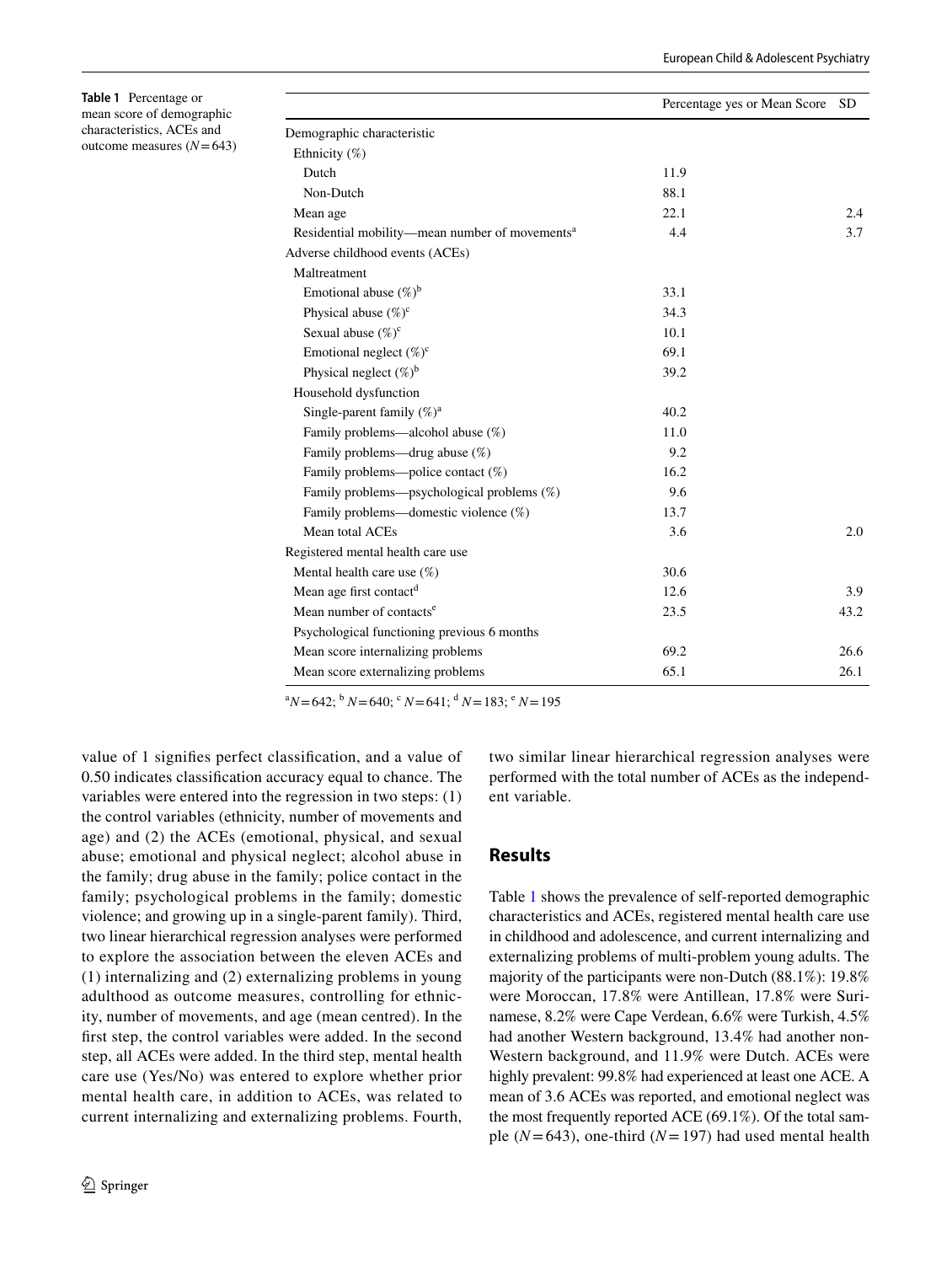<span id="page-5-0"></span>**Table 1** Percentage or mean score of demographic characteristics, ACEs and outcome measures (*N*=643)

|                                                            | Percentage yes or Mean Score | <b>SD</b> |
|------------------------------------------------------------|------------------------------|-----------|
| Demographic characteristic                                 |                              |           |
| Ethnicity $(\%)$                                           |                              |           |
| Dutch                                                      | 11.9                         |           |
| Non-Dutch                                                  | 88.1                         |           |
| Mean age                                                   | 22.1                         | 2.4       |
| Residential mobility—mean number of movements <sup>a</sup> | 4.4                          | 3.7       |
| Adverse childhood events (ACEs)                            |                              |           |
| Maltreatment                                               |                              |           |
| Emotional abuse $(\%)^b$                                   | 33.1                         |           |
| Physical abuse $(\%)^c$                                    | 34.3                         |           |
| Sexual abuse $(\%)^c$                                      | 10.1                         |           |
| Emotional neglect $(\%)^c$                                 | 69.1                         |           |
| Physical neglect $(\%)^b$                                  | 39.2                         |           |
| Household dysfunction                                      |                              |           |
| Single-parent family $(\%)^a$                              | 40.2                         |           |
| Family problems—alcohol abuse $(\%)$                       | 11.0                         |           |
| Family problems—drug abuse $(\%)$                          | 9.2                          |           |
| Family problems—police contact $(\%)$                      | 16.2                         |           |
| Family problems—psychological problems (%)                 | 9.6                          |           |
| Family problems—domestic violence (%)                      | 13.7                         |           |
| Mean total ACEs                                            | 3.6                          | 2.0       |
| Registered mental health care use                          |                              |           |
| Mental health care use $(\%)$                              | 30.6                         |           |
| Mean age first contact <sup>d</sup>                        | 12.6                         | 3.9       |
| Mean number of contacts <sup>e</sup>                       | 23.5                         | 43.2      |
| Psychological functioning previous 6 months                |                              |           |
| Mean score internalizing problems                          | 69.2                         | 26.6      |
| Mean score externalizing problems                          | 65.1                         | 26.1      |

 $N^{a}N$ =642;  $N^{b}N$ =640;  $N^{c}N$ =641;  $N^{d}N$ =183;  $N^{e}N$ =195

value of 1 signifes perfect classifcation, and a value of 0.50 indicates classifcation accuracy equal to chance. The variables were entered into the regression in two steps: (1) the control variables (ethnicity, number of movements and age) and (2) the ACEs (emotional, physical, and sexual abuse; emotional and physical neglect; alcohol abuse in the family; drug abuse in the family; police contact in the family; psychological problems in the family; domestic violence; and growing up in a single-parent family). Third, two linear hierarchical regression analyses were performed to explore the association between the eleven ACEs and (1) internalizing and (2) externalizing problems in young adulthood as outcome measures, controlling for ethnicity, number of movements, and age (mean centred). In the frst step, the control variables were added. In the second step, all ACEs were added. In the third step, mental health care use (Yes/No) was entered to explore whether prior mental health care, in addition to ACEs, was related to current internalizing and externalizing problems. Fourth,

two similar linear hierarchical regression analyses were performed with the total number of ACEs as the independent variable.

# **Results**

Table [1](#page-5-0) shows the prevalence of self-reported demographic characteristics and ACEs, registered mental health care use in childhood and adolescence, and current internalizing and externalizing problems of multi-problem young adults. The majority of the participants were non-Dutch (88.1%): 19.8% were Moroccan, 17.8% were Antillean, 17.8% were Surinamese, 8.2% were Cape Verdean, 6.6% were Turkish, 4.5% had another Western background, 13.4% had another non-Western background, and 11.9% were Dutch. ACEs were highly prevalent: 99.8% had experienced at least one ACE. A mean of 3.6 ACEs was reported, and emotional neglect was the most frequently reported ACE (69.1%). Of the total sample  $(N=643)$ , one-third  $(N=197)$  had used mental health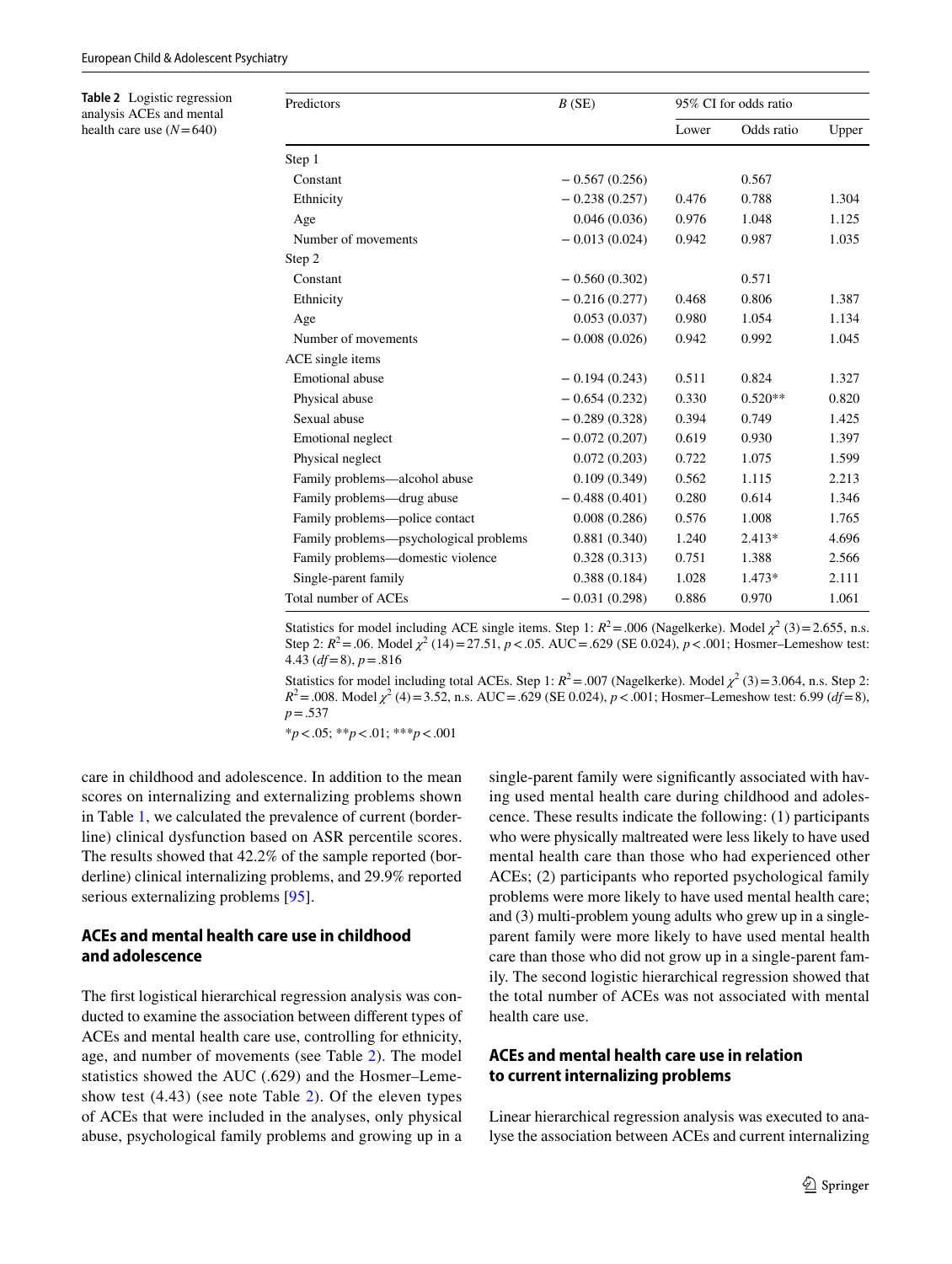<span id="page-6-0"></span>**Table 2** Logistic regression analysis ACEs and mental health care use (*N*=640)

| Predictors                             | B(SE)           | 95% CI for odds ratio |            |       |
|----------------------------------------|-----------------|-----------------------|------------|-------|
|                                        |                 | Lower                 | Odds ratio | Upper |
| Step 1                                 |                 |                       |            |       |
| Constant                               | $-0.567(0.256)$ |                       | 0.567      |       |
| Ethnicity                              | $-0.238(0.257)$ | 0.476                 | 0.788      | 1.304 |
| Age                                    | 0.046(0.036)    | 0.976                 | 1.048      | 1.125 |
| Number of movements                    | $-0.013(0.024)$ | 0.942                 | 0.987      | 1.035 |
| Step 2                                 |                 |                       |            |       |
| Constant                               | $-0.560(0.302)$ |                       | 0.571      |       |
| Ethnicity                              | $-0.216(0.277)$ | 0.468                 | 0.806      | 1.387 |
| Age                                    | 0.053(0.037)    | 0.980                 | 1.054      | 1.134 |
| Number of movements                    | $-0.008(0.026)$ | 0.942                 | 0.992      | 1.045 |
| ACE single items                       |                 |                       |            |       |
| <b>Emotional</b> abuse                 | $-0.194(0.243)$ | 0.511                 | 0.824      | 1.327 |
| Physical abuse                         | $-0.654(0.232)$ | 0.330                 | $0.520**$  | 0.820 |
| Sexual abuse                           | $-0.289(0.328)$ | 0.394                 | 0.749      | 1.425 |
| Emotional neglect                      | $-0.072(0.207)$ | 0.619                 | 0.930      | 1.397 |
| Physical neglect                       | 0.072(0.203)    | 0.722                 | 1.075      | 1.599 |
| Family problems—alcohol abuse          | 0.109(0.349)    | 0.562                 | 1.115      | 2.213 |
| Family problems—drug abuse             | $-0.488(0.401)$ | 0.280                 | 0.614      | 1.346 |
| Family problems—police contact         | 0.008(0.286)    | 0.576                 | 1.008      | 1.765 |
| Family problems—psychological problems | 0.881(0.340)    | 1.240                 | $2.413*$   | 4.696 |
| Family problems—domestic violence      | 0.328(0.313)    | 0.751                 | 1.388      | 2.566 |
| Single-parent family                   | 0.388(0.184)    | 1.028                 | 1.473*     | 2.111 |
| Total number of ACEs                   | $-0.031(0.298)$ | 0.886                 | 0.970      | 1.061 |

Statistics for model including ACE single items. Step 1:  $R^2 = .006$  (Nagelkerke). Model  $\chi^2$  (3) = 2.655, n.s. Step 2:  $R^2$  = .06. Model  $\chi^2$  (14) = 27.51, *p* < .05. AUC = .629 (SE 0.024), *p* < .001; Hosmer–Lemeshow test: 4.43 (*df*=8), *p*=.816

Statistics for model including total ACEs. Step 1:  $R^2 = 0.007$  (Nagelkerke). Model  $\chi^2(3) = 3.064$ , n.s. Step 2:  $R^2 = .008$ . Model  $\chi^2$  (4) = 3.52, n.s. AUC = .629 (SE 0.024), *p* < .001; Hosmer–Lemeshow test: 6.99 (*df* = 8), *p*=.537

\**p*<.05; \*\**p*<.01; \*\*\**p*<.001

care in childhood and adolescence. In addition to the mean scores on internalizing and externalizing problems shown in Table [1](#page-5-0), we calculated the prevalence of current (borderline) clinical dysfunction based on ASR percentile scores. The results showed that 42.2% of the sample reported (borderline) clinical internalizing problems, and 29.9% reported serious externalizing problems [[95](#page-13-24)].

# **ACEs and mental health care use in childhood and adolescence**

The frst logistical hierarchical regression analysis was conducted to examine the association between diferent types of ACEs and mental health care use, controlling for ethnicity, age, and number of movements (see Table [2](#page-6-0)). The model statistics showed the AUC (.629) and the Hosmer–Lemeshow test (4.43) (see note Table [2\)](#page-6-0). Of the eleven types of ACEs that were included in the analyses, only physical abuse, psychological family problems and growing up in a single-parent family were signifcantly associated with having used mental health care during childhood and adolescence. These results indicate the following: (1) participants who were physically maltreated were less likely to have used mental health care than those who had experienced other ACEs; (2) participants who reported psychological family problems were more likely to have used mental health care; and (3) multi-problem young adults who grew up in a singleparent family were more likely to have used mental health care than those who did not grow up in a single-parent family. The second logistic hierarchical regression showed that the total number of ACEs was not associated with mental health care use.

# **ACEs and mental health care use in relation to current internalizing problems**

Linear hierarchical regression analysis was executed to analyse the association between ACEs and current internalizing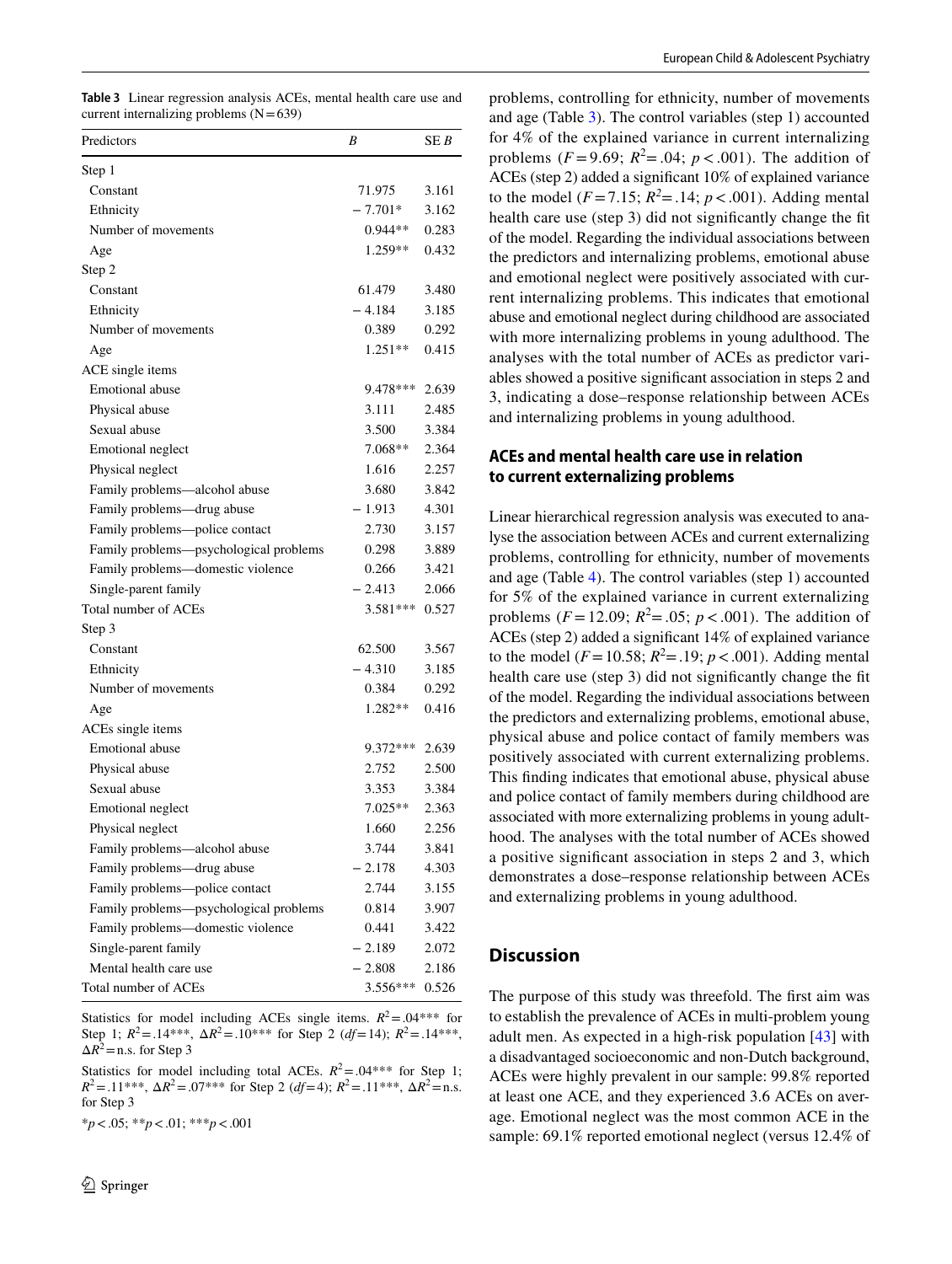<span id="page-7-0"></span>

|  | <b>Table 3</b> Linear regression analysis ACEs, mental health care use and |  |  |  |  |
|--|----------------------------------------------------------------------------|--|--|--|--|
|  | current internalizing problems $(N=639)$                                   |  |  |  |  |

| Predictors                             | B          | SE B  |
|----------------------------------------|------------|-------|
| Step 1                                 |            |       |
| Constant                               | 71.975     | 3.161 |
| Ethnicity                              | $-7.701*$  | 3.162 |
| Number of movements                    | $0.944**$  | 0.283 |
| Age                                    | 1.259**    | 0.432 |
| Step 2                                 |            |       |
| Constant                               | 61.479     | 3.480 |
| Ethnicity                              | $-4.184$   | 3.185 |
| Number of movements                    | 0.389      | 0.292 |
| Age                                    | $1.251**$  | 0.415 |
| ACE single items                       |            |       |
| Emotional abuse                        | 9.478***   | 2.639 |
| Physical abuse                         | 3.111      | 2.485 |
| Sexual abuse                           | 3.500      | 3.384 |
| Emotional neglect                      | 7.068**    | 2.364 |
| Physical neglect                       | 1.616      | 2.257 |
| Family problems-alcohol abuse          | 3.680      | 3.842 |
| Family problems-drug abuse             | $-1.913$   | 4.301 |
| Family problems-police contact         | 2.730      | 3.157 |
| Family problems-psychological problems | 0.298      | 3.889 |
| Family problems-domestic violence      | 0.266      | 3.421 |
| Single-parent family                   | $-2.413$   | 2.066 |
| Total number of ACEs                   | $3.581***$ | 0.527 |
| Step 3                                 |            |       |
| Constant                               | 62.500     | 3.567 |
| Ethnicity                              | $-4.310$   | 3.185 |
| Number of movements                    | 0.384      | 0.292 |
| Age                                    | $1.282**$  | 0.416 |
| ACEs single items                      |            |       |
| Emotional abuse                        | 9.372***   | 2.639 |
| Physical abuse                         | 2.752      | 2.500 |
| Sexual abuse                           | 3.353      | 3.384 |
| Emotional neglect                      | $7.025**$  | 2.363 |
| Physical neglect                       | 1.660      | 2.256 |
| Family problems-alcohol abuse          | 3.744      | 3.841 |
| Family problems-drug abuse             | $-2.178$   | 4.303 |
| Family problems-police contact         | 2.744      | 3.155 |
| Family problems-psychological problems | 0.814      | 3.907 |
| Family problems-domestic violence      | 0.441      | 3.422 |
| Single-parent family                   | $-2.189$   | 2.072 |
| Mental health care use                 | $-2.808$   | 2.186 |
| Total number of ACEs                   | 3.556***   | 0.526 |

Statistics for model including ACEs single items.  $R^2 = .04***$  for Step 1;  $R^2 = .14***$ ,  $\Delta R^2 = .10***$  for Step 2 (*df*=14);  $R^2 = .14***$ ,  $\Delta R^2$ =n.s. for Step 3

Statistics for model including total ACEs.  $R^2 = 0.04***$  for Step 1;  $R^2 = .11$ \*\*\*,  $\Delta R^2 = .07$ \*\*\* for Step 2 (*df*=4);  $R^2 = .11$ \*\*\*,  $\Delta R^2 =$ n.s. for Step 3

\**p*<.05; \*\**p*<.01; \*\*\**p*<.001

problems, controlling for ethnicity, number of movements and age (Table [3](#page-7-0)). The control variables (step 1) accounted for 4% of the explained variance in current internalizing problems ( $F = 9.69$ ;  $R^2 = .04$ ;  $p < .001$ ). The addition of ACEs (step 2) added a signifcant 10% of explained variance to the model ( $F = 7.15$ ;  $R^2 = .14$ ;  $p < .001$ ). Adding mental health care use (step 3) did not significantly change the fit of the model. Regarding the individual associations between the predictors and internalizing problems, emotional abuse and emotional neglect were positively associated with current internalizing problems. This indicates that emotional abuse and emotional neglect during childhood are associated with more internalizing problems in young adulthood. The analyses with the total number of ACEs as predictor variables showed a positive signifcant association in steps 2 and 3, indicating a dose–response relationship between ACEs and internalizing problems in young adulthood.

## **ACEs and mental health care use in relation to current externalizing problems**

Linear hierarchical regression analysis was executed to analyse the association between ACEs and current externalizing problems, controlling for ethnicity, number of movements and age (Table [4](#page-8-0)). The control variables (step 1) accounted for 5% of the explained variance in current externalizing problems ( $F = 12.09$ ;  $R^2 = .05$ ;  $p < .001$ ). The addition of ACEs (step 2) added a signifcant 14% of explained variance to the model ( $F = 10.58$ ;  $R^2 = .19$ ;  $p < .001$ ). Adding mental health care use (step 3) did not significantly change the fit of the model. Regarding the individual associations between the predictors and externalizing problems, emotional abuse, physical abuse and police contact of family members was positively associated with current externalizing problems. This fnding indicates that emotional abuse, physical abuse and police contact of family members during childhood are associated with more externalizing problems in young adulthood. The analyses with the total number of ACEs showed a positive signifcant association in steps 2 and 3, which demonstrates a dose–response relationship between ACEs and externalizing problems in young adulthood.

## **Discussion**

The purpose of this study was threefold. The frst aim was to establish the prevalence of ACEs in multi-problem young adult men. As expected in a high-risk population [\[43](#page-12-10)] with a disadvantaged socioeconomic and non-Dutch background, ACEs were highly prevalent in our sample: 99.8% reported at least one ACE, and they experienced 3.6 ACEs on average. Emotional neglect was the most common ACE in the sample: 69.1% reported emotional neglect (versus 12.4% of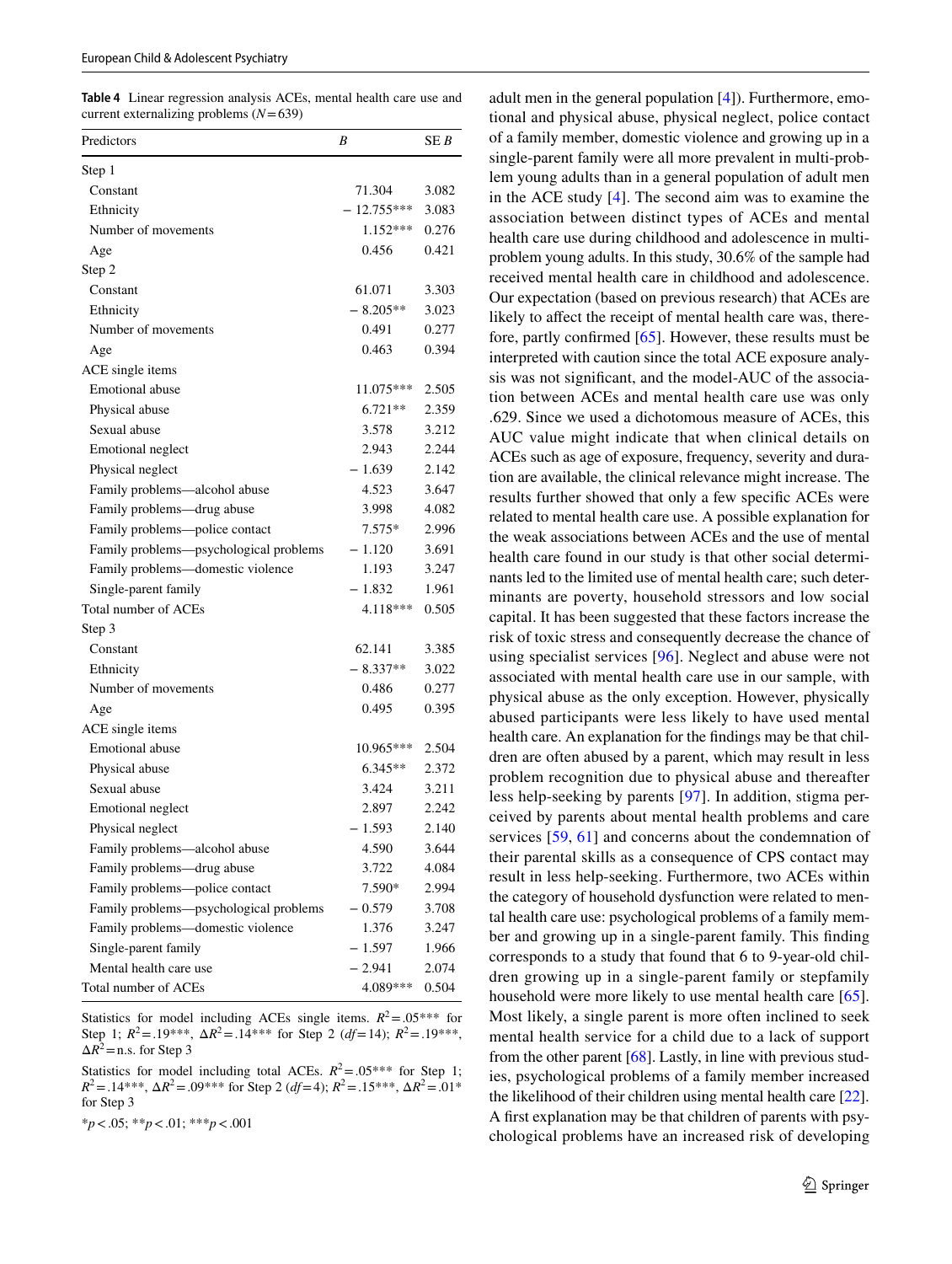<span id="page-8-0"></span>**Table 4** Linear regression analysis ACEs, mental health care use and current externalizing problems (*N*=639)

| Predictors                             | B            | SE B  |
|----------------------------------------|--------------|-------|
| Step 1                                 |              |       |
| Constant                               | 71.304       | 3.082 |
| Ethnicity                              | $-12.755***$ | 3.083 |
| Number of movements                    | $1.152***$   | 0.276 |
| Age                                    | 0.456        | 0.421 |
| Step 2                                 |              |       |
| Constant                               | 61.071       | 3.303 |
| Ethnicity                              | $-8.205**$   | 3.023 |
| Number of movements                    | 0.491        | 0.277 |
| Age                                    | 0.463        | 0.394 |
| ACE single items                       |              |       |
| Emotional abuse                        | 11.075***    | 2.505 |
| Physical abuse                         | $6.721**$    | 2.359 |
| Sexual abuse                           | 3.578        | 3.212 |
| Emotional neglect                      | 2.943        | 2.244 |
| Physical neglect                       | - 1.639      | 2.142 |
| Family problems—alcohol abuse          | 4.523        | 3.647 |
| Family problems-drug abuse             | 3.998        | 4.082 |
| Family problems-police contact         | $7.575*$     | 2.996 |
| Family problems-psychological problems | $-1.120$     | 3.691 |
| Family problems-domestic violence      | 1.193        | 3.247 |
| Single-parent family                   | - 1.832      | 1.961 |
| Total number of ACEs                   | 4.118***     | 0.505 |
| Step 3                                 |              |       |
| Constant                               | 62.141       | 3.385 |
| Ethnicity                              | $-8.337**$   | 3.022 |
| Number of movements                    | 0.486        | 0.277 |
| Age                                    | 0.495        | 0.395 |
| ACE single items                       |              |       |
| Emotional abuse                        | $10.965***$  | 2.504 |
| Physical abuse                         | $6.345**$    | 2.372 |
| Sexual abuse                           | 3.424        | 3.211 |
| Emotional neglect                      | 2.897        | 2.242 |
| Physical neglect                       | - 1.593      | 2.140 |
| Family problems-alcohol abuse          | 4.590        | 3.644 |
| Family problems-drug abuse             | 3.722        | 4.084 |
| Family problems-police contact         | 7.590*       | 2.994 |
| Family problems—psychological problems | $-0.579$     | 3.708 |
| Family problems-domestic violence      | 1.376        | 3.247 |
| Single-parent family                   | $-1.597$     | 1.966 |
| Mental health care use                 | $-2.941$     | 2.074 |
| Total number of ACEs                   | 4.089***     | 0.504 |

Statistics for model including ACEs single items.  $R^2 = .05^{***}$  for Step 1;  $R^2 = .19^{***}$ ,  $\Delta R^2 = .14^{***}$  for Step 2 (*df*=14);  $R^2 = .19^{***}$ ,  $\Delta R^2$ =n.s. for Step 3

Statistics for model including total ACEs.  $R^2 = 0.05^{***}$  for Step 1;  $R^2 = .14$ \*\*\*,  $\Delta R^2 = .09$ \*\*\* for Step 2 (*df*=4);  $R^2 = .15$ \*\*\*,  $\Delta R^2 = .01$ \* for Step 3

\**p*<.05; \*\**p*<.01; \*\*\**p*<.001

adult men in the general population [\[4](#page-11-3)]). Furthermore, emotional and physical abuse, physical neglect, police contact of a family member, domestic violence and growing up in a single-parent family were all more prevalent in multi-problem young adults than in a general population of adult men in the ACE study [[4\]](#page-11-3). The second aim was to examine the association between distinct types of ACEs and mental health care use during childhood and adolescence in multiproblem young adults. In this study, 30.6% of the sample had received mental health care in childhood and adolescence. Our expectation (based on previous research) that ACEs are likely to affect the receipt of mental health care was, therefore, partly confrmed [[65\]](#page-12-27). However, these results must be interpreted with caution since the total ACE exposure analysis was not signifcant, and the model-AUC of the association between ACEs and mental health care use was only .629. Since we used a dichotomous measure of ACEs, this AUC value might indicate that when clinical details on ACEs such as age of exposure, frequency, severity and duration are available, the clinical relevance might increase. The results further showed that only a few specifc ACEs were related to mental health care use. A possible explanation for the weak associations between ACEs and the use of mental health care found in our study is that other social determinants led to the limited use of mental health care; such determinants are poverty, household stressors and low social capital. It has been suggested that these factors increase the risk of toxic stress and consequently decrease the chance of using specialist services [[96\]](#page-13-25). Neglect and abuse were not associated with mental health care use in our sample, with physical abuse as the only exception. However, physically abused participants were less likely to have used mental health care. An explanation for the fndings may be that children are often abused by a parent, which may result in less problem recognition due to physical abuse and thereafter less help-seeking by parents [\[97\]](#page-13-26). In addition, stigma perceived by parents about mental health problems and care services [[59,](#page-12-23) [61](#page-12-22)] and concerns about the condemnation of their parental skills as a consequence of CPS contact may result in less help-seeking. Furthermore, two ACEs within the category of household dysfunction were related to mental health care use: psychological problems of a family member and growing up in a single-parent family. This fnding corresponds to a study that found that 6 to 9-year-old children growing up in a single-parent family or stepfamily household were more likely to use mental health care [\[65](#page-12-27)]. Most likely, a single parent is more often inclined to seek mental health service for a child due to a lack of support from the other parent [[68\]](#page-12-30). Lastly, in line with previous studies, psychological problems of a family member increased the likelihood of their children using mental health care [[22](#page-11-12)]. A frst explanation may be that children of parents with psychological problems have an increased risk of developing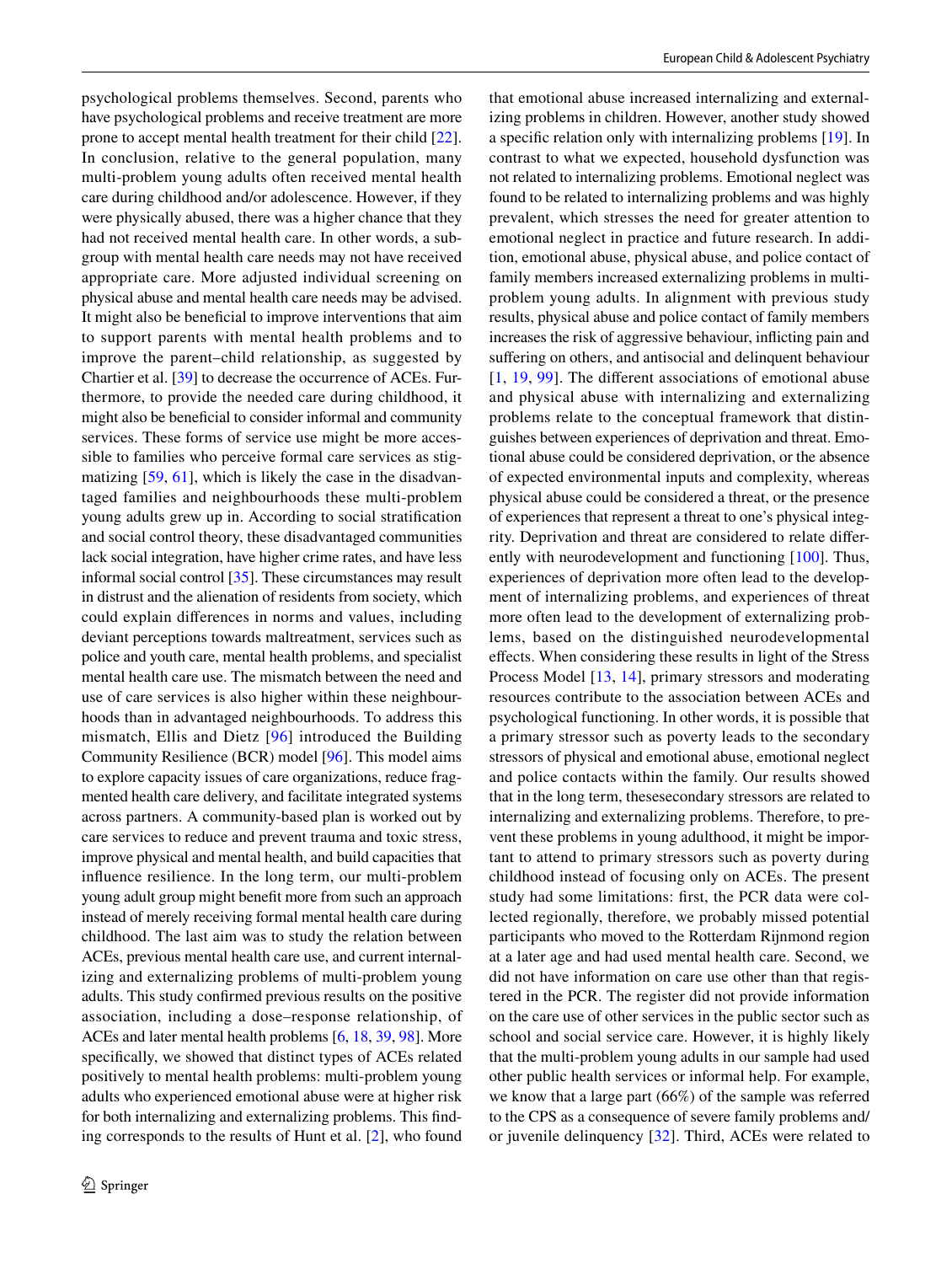psychological problems themselves. Second, parents who have psychological problems and receive treatment are more prone to accept mental health treatment for their child [\[22](#page-11-12)]. In conclusion, relative to the general population, many multi-problem young adults often received mental health care during childhood and/or adolescence. However, if they were physically abused, there was a higher chance that they had not received mental health care. In other words, a subgroup with mental health care needs may not have received appropriate care. More adjusted individual screening on physical abuse and mental health care needs may be advised. It might also be beneficial to improve interventions that aim to support parents with mental health problems and to improve the parent–child relationship, as suggested by Chartier et al. [[39\]](#page-12-6) to decrease the occurrence of ACEs. Furthermore, to provide the needed care during childhood, it might also be benefcial to consider informal and community services. These forms of service use might be more accessible to families who perceive formal care services as stigmatizing [[59,](#page-12-23) [61](#page-12-22)], which is likely the case in the disadvantaged families and neighbourhoods these multi-problem young adults grew up in. According to social stratifcation and social control theory, these disadvantaged communities lack social integration, have higher crime rates, and have less informal social control [\[35\]](#page-12-2). These circumstances may result in distrust and the alienation of residents from society, which could explain diferences in norms and values, including deviant perceptions towards maltreatment, services such as police and youth care, mental health problems, and specialist mental health care use. The mismatch between the need and use of care services is also higher within these neighbourhoods than in advantaged neighbourhoods. To address this mismatch, Ellis and Dietz [[96](#page-13-25)] introduced the Building Community Resilience (BCR) model [[96\]](#page-13-25). This model aims to explore capacity issues of care organizations, reduce fragmented health care delivery, and facilitate integrated systems across partners. A community-based plan is worked out by care services to reduce and prevent trauma and toxic stress, improve physical and mental health, and build capacities that infuence resilience. In the long term, our multi-problem young adult group might beneft more from such an approach instead of merely receiving formal mental health care during childhood. The last aim was to study the relation between ACEs, previous mental health care use, and current internalizing and externalizing problems of multi-problem young adults. This study confrmed previous results on the positive association, including a dose–response relationship, of ACEs and later mental health problems [\[6,](#page-11-5) [18,](#page-11-28) [39](#page-12-6), [98\]](#page-13-27). More specifcally, we showed that distinct types of ACEs related positively to mental health problems: multi-problem young adults who experienced emotional abuse were at higher risk for both internalizing and externalizing problems. This fnding corresponds to the results of Hunt et al. [\[2](#page-11-1)], who found that emotional abuse increased internalizing and externalizing problems in children. However, another study showed a specifc relation only with internalizing problems [\[19\]](#page-11-25). In contrast to what we expected, household dysfunction was not related to internalizing problems. Emotional neglect was found to be related to internalizing problems and was highly prevalent, which stresses the need for greater attention to emotional neglect in practice and future research. In addition, emotional abuse, physical abuse, and police contact of family members increased externalizing problems in multiproblem young adults. In alignment with previous study results, physical abuse and police contact of family members increases the risk of aggressive behaviour, inficting pain and sufering on others, and antisocial and delinquent behaviour [[1,](#page-11-0) [19,](#page-11-25) [99](#page-13-28)]. The diferent associations of emotional abuse and physical abuse with internalizing and externalizing problems relate to the conceptual framework that distinguishes between experiences of deprivation and threat. Emotional abuse could be considered deprivation, or the absence of expected environmental inputs and complexity, whereas physical abuse could be considered a threat, or the presence of experiences that represent a threat to one's physical integrity. Deprivation and threat are considered to relate diferently with neurodevelopment and functioning [[100\]](#page-13-29). Thus, experiences of deprivation more often lead to the development of internalizing problems, and experiences of threat more often lead to the development of externalizing problems, based on the distinguished neurodevelopmental efects. When considering these results in light of the Stress Process Model [[13,](#page-11-7) [14](#page-11-8)], primary stressors and moderating resources contribute to the association between ACEs and psychological functioning. In other words, it is possible that a primary stressor such as poverty leads to the secondary stressors of physical and emotional abuse, emotional neglect and police contacts within the family. Our results showed that in the long term, thesesecondary stressors are related to internalizing and externalizing problems. Therefore, to prevent these problems in young adulthood, it might be important to attend to primary stressors such as poverty during childhood instead of focusing only on ACEs. The present study had some limitations: frst, the PCR data were collected regionally, therefore, we probably missed potential participants who moved to the Rotterdam Rijnmond region at a later age and had used mental health care. Second, we did not have information on care use other than that registered in the PCR. The register did not provide information on the care use of other services in the public sector such as school and social service care. However, it is highly likely that the multi-problem young adults in our sample had used other public health services or informal help. For example, we know that a large part (66%) of the sample was referred to the CPS as a consequence of severe family problems and/ or juvenile delinquency [\[32](#page-11-22)]. Third, ACEs were related to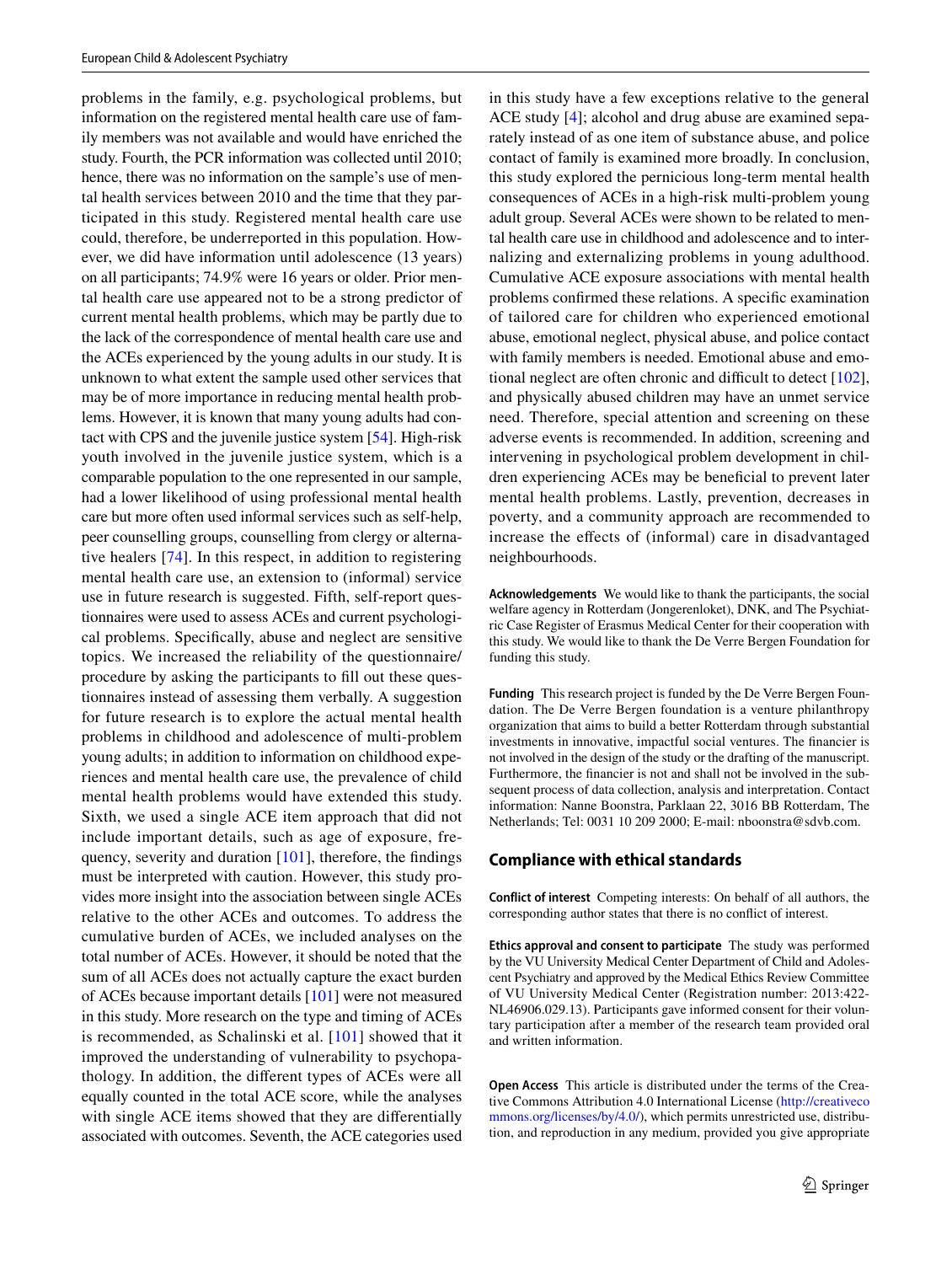problems in the family, e.g. psychological problems, but information on the registered mental health care use of family members was not available and would have enriched the study. Fourth, the PCR information was collected until 2010; hence, there was no information on the sample's use of mental health services between 2010 and the time that they participated in this study. Registered mental health care use could, therefore, be underreported in this population. However, we did have information until adolescence (13 years) on all participants; 74.9% were 16 years or older. Prior mental health care use appeared not to be a strong predictor of current mental health problems, which may be partly due to the lack of the correspondence of mental health care use and the ACEs experienced by the young adults in our study. It is unknown to what extent the sample used other services that may be of more importance in reducing mental health problems. However, it is known that many young adults had contact with CPS and the juvenile justice system [\[54\]](#page-12-31). High-risk youth involved in the juvenile justice system, which is a comparable population to the one represented in our sample, had a lower likelihood of using professional mental health care but more often used informal services such as self-help, peer counselling groups, counselling from clergy or alternative healers [\[74\]](#page-13-5). In this respect, in addition to registering mental health care use, an extension to (informal) service use in future research is suggested. Fifth, self-report questionnaires were used to assess ACEs and current psychological problems. Specifcally, abuse and neglect are sensitive topics. We increased the reliability of the questionnaire/ procedure by asking the participants to fll out these questionnaires instead of assessing them verbally. A suggestion for future research is to explore the actual mental health problems in childhood and adolescence of multi-problem young adults; in addition to information on childhood experiences and mental health care use, the prevalence of child mental health problems would have extended this study. Sixth, we used a single ACE item approach that did not include important details, such as age of exposure, frequency, severity and duration [\[101](#page-13-30)], therefore, the fndings must be interpreted with caution. However, this study provides more insight into the association between single ACEs relative to the other ACEs and outcomes. To address the cumulative burden of ACEs, we included analyses on the total number of ACEs. However, it should be noted that the sum of all ACEs does not actually capture the exact burden of ACEs because important details [\[101](#page-13-30)] were not measured in this study. More research on the type and timing of ACEs is recommended, as Schalinski et al. [[101](#page-13-30)] showed that it improved the understanding of vulnerability to psychopathology. In addition, the diferent types of ACEs were all equally counted in the total ACE score, while the analyses with single ACE items showed that they are diferentially associated with outcomes. Seventh, the ACE categories used in this study have a few exceptions relative to the general ACE study [\[4](#page-11-3)]; alcohol and drug abuse are examined separately instead of as one item of substance abuse, and police contact of family is examined more broadly. In conclusion, this study explored the pernicious long-term mental health consequences of ACEs in a high-risk multi-problem young adult group. Several ACEs were shown to be related to mental health care use in childhood and adolescence and to internalizing and externalizing problems in young adulthood. Cumulative ACE exposure associations with mental health problems confrmed these relations. A specifc examination of tailored care for children who experienced emotional abuse, emotional neglect, physical abuse, and police contact with family members is needed. Emotional abuse and emotional neglect are often chronic and difficult to detect  $[102]$  $[102]$ , and physically abused children may have an unmet service need. Therefore, special attention and screening on these adverse events is recommended. In addition, screening and intervening in psychological problem development in children experiencing ACEs may be beneficial to prevent later mental health problems. Lastly, prevention, decreases in poverty, and a community approach are recommended to increase the efects of (informal) care in disadvantaged neighbourhoods.

**Acknowledgements** We would like to thank the participants, the social welfare agency in Rotterdam (Jongerenloket), DNK, and The Psychiatric Case Register of Erasmus Medical Center for their cooperation with this study. We would like to thank the De Verre Bergen Foundation for funding this study.

**Funding** This research project is funded by the De Verre Bergen Foundation. The De Verre Bergen foundation is a venture philanthropy organization that aims to build a better Rotterdam through substantial investments in innovative, impactful social ventures. The fnancier is not involved in the design of the study or the drafting of the manuscript. Furthermore, the fnancier is not and shall not be involved in the subsequent process of data collection, analysis and interpretation. Contact information: Nanne Boonstra, Parklaan 22, 3016 BB Rotterdam, The Netherlands; Tel: 0031 10 209 2000; E-mail: nboonstra@sdvb.com.

## **Compliance with ethical standards**

**Conflict of interest** Competing interests: On behalf of all authors, the corresponding author states that there is no confict of interest.

**Ethics approval and consent to participate** The study was performed by the VU University Medical Center Department of Child and Adolescent Psychiatry and approved by the Medical Ethics Review Committee of VU University Medical Center (Registration number: 2013:422- NL46906.029.13). Participants gave informed consent for their voluntary participation after a member of the research team provided oral and written information.

**Open Access** This article is distributed under the terms of the Creative Commons Attribution 4.0 International License ([http://creativeco](http://creativecommons.org/licenses/by/4.0/) [mmons.org/licenses/by/4.0/](http://creativecommons.org/licenses/by/4.0/)), which permits unrestricted use, distribution, and reproduction in any medium, provided you give appropriate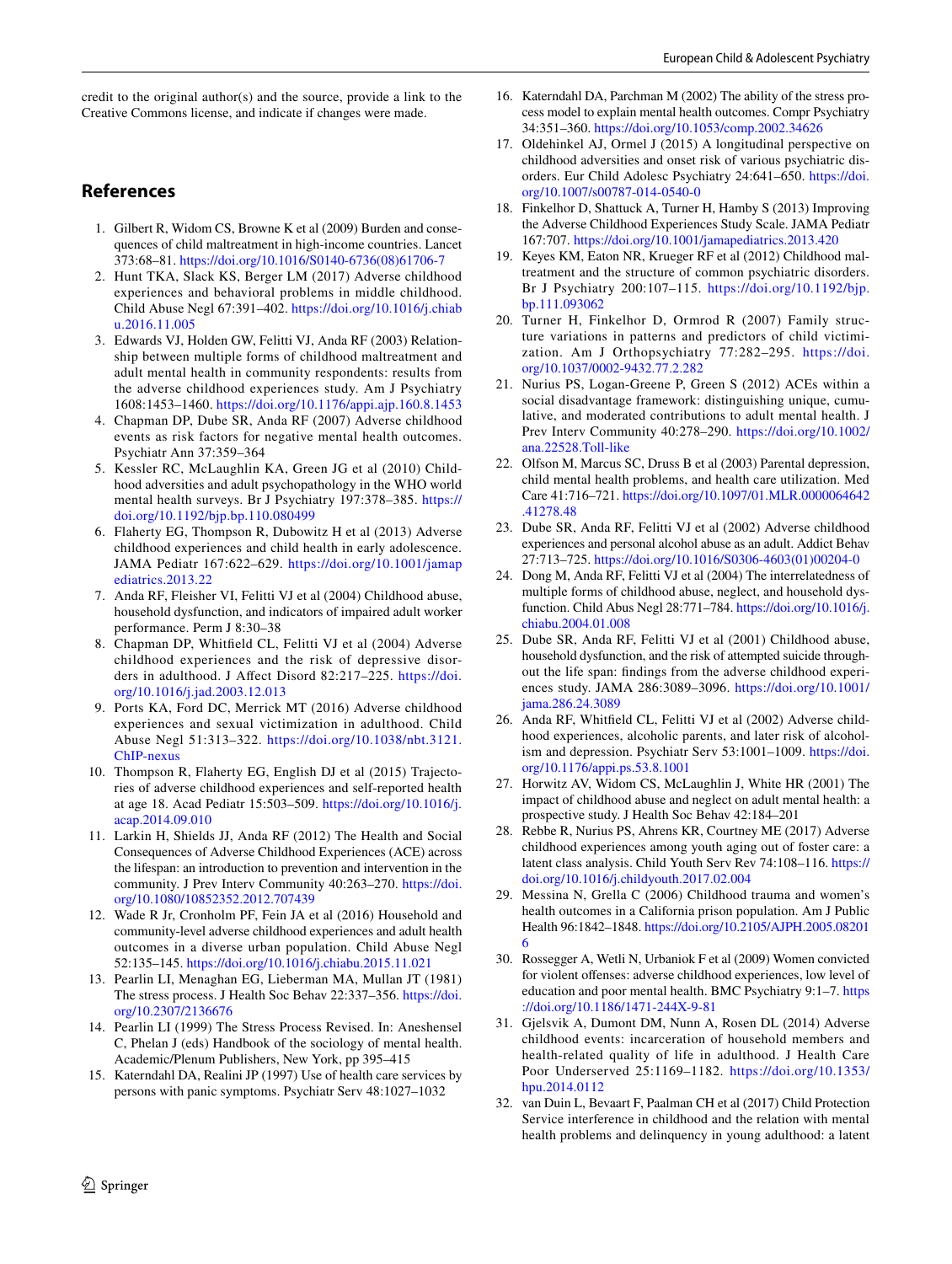credit to the original author(s) and the source, provide a link to the Creative Commons license, and indicate if changes were made.

# **References**

- <span id="page-11-0"></span>1. Gilbert R, Widom CS, Browne K et al (2009) Burden and consequences of child maltreatment in high-income countries. Lancet 373:68–81. [https://doi.org/10.1016/S0140-6736\(08\)61706-7](https://doi.org/10.1016/S0140-6736(08)61706-7)
- <span id="page-11-1"></span>2. Hunt TKA, Slack KS, Berger LM (2017) Adverse childhood experiences and behavioral problems in middle childhood. Child Abuse Negl 67:391–402. [https://doi.org/10.1016/j.chiab](https://doi.org/10.1016/j.chiabu.2016.11.005) [u.2016.11.005](https://doi.org/10.1016/j.chiabu.2016.11.005)
- <span id="page-11-2"></span>3. Edwards VJ, Holden GW, Felitti VJ, Anda RF (2003) Relationship between multiple forms of childhood maltreatment and adult mental health in community respondents: results from the adverse childhood experiences study. Am J Psychiatry 1608:1453–1460.<https://doi.org/10.1176/appi.ajp.160.8.1453>
- <span id="page-11-3"></span>4. Chapman DP, Dube SR, Anda RF (2007) Adverse childhood events as risk factors for negative mental health outcomes. Psychiatr Ann 37:359–364
- <span id="page-11-4"></span>5. Kessler RC, McLaughlin KA, Green JG et al (2010) Childhood adversities and adult psychopathology in the WHO world mental health surveys. Br J Psychiatry 197:378–385. [https://](https://doi.org/10.1192/bjp.bp.110.080499) [doi.org/10.1192/bjp.bp.110.080499](https://doi.org/10.1192/bjp.bp.110.080499)
- <span id="page-11-5"></span>6. Flaherty EG, Thompson R, Dubowitz H et al (2013) Adverse childhood experiences and child health in early adolescence. JAMA Pediatr 167:622–629. [https://doi.org/10.1001/jamap](https://doi.org/10.1001/jamapediatrics.2013.22) [ediatrics.2013.22](https://doi.org/10.1001/jamapediatrics.2013.22)
- 7. Anda RF, Fleisher VI, Felitti VJ et al (2004) Childhood abuse, household dysfunction, and indicators of impaired adult worker performance. Perm J 8:30–38
- <span id="page-11-13"></span>8. Chapman DP, Whitfeld CL, Felitti VJ et al (2004) Adverse childhood experiences and the risk of depressive disorders in adulthood. J Afect Disord 82:217–225. [https://doi.](https://doi.org/10.1016/j.jad.2003.12.013) [org/10.1016/j.jad.2003.12.013](https://doi.org/10.1016/j.jad.2003.12.013)
- <span id="page-11-14"></span>9. Ports KA, Ford DC, Merrick MT (2016) Adverse childhood experiences and sexual victimization in adulthood. Child Abuse Negl 51:313–322. [https://doi.org/10.1038/nbt.3121.](https://doi.org/10.1038/nbt.3121.ChIP-nexus) [ChIP-nexus](https://doi.org/10.1038/nbt.3121.ChIP-nexus)
- <span id="page-11-17"></span>10. Thompson R, Flaherty EG, English DJ et al (2015) Trajectories of adverse childhood experiences and self-reported health at age 18. Acad Pediatr 15:503–509. [https://doi.org/10.1016/j.](https://doi.org/10.1016/j.acap.2014.09.010) [acap.2014.09.010](https://doi.org/10.1016/j.acap.2014.09.010)
- 11. Larkin H, Shields JJ, Anda RF (2012) The Health and Social Consequences of Adverse Childhood Experiences (ACE) across the lifespan: an introduction to prevention and intervention in the community. J Prev Interv Community 40:263–270. [https://doi.](https://doi.org/10.1080/10852352.2012.707439) [org/10.1080/10852352.2012.707439](https://doi.org/10.1080/10852352.2012.707439)
- <span id="page-11-6"></span>12. Wade R Jr, Cronholm PF, Fein JA et al (2016) Household and community-level adverse childhood experiences and adult health outcomes in a diverse urban population. Child Abuse Negl 52:135–145. <https://doi.org/10.1016/j.chiabu.2015.11.021>
- <span id="page-11-7"></span>13. Pearlin LI, Menaghan EG, Lieberman MA, Mullan JT (1981) The stress process. J Health Soc Behav 22:337–356. [https://doi.](https://doi.org/10.2307/2136676) [org/10.2307/2136676](https://doi.org/10.2307/2136676)
- <span id="page-11-8"></span>14. Pearlin LI (1999) The Stress Process Revised. In: Aneshensel C, Phelan J (eds) Handbook of the sociology of mental health. Academic/Plenum Publishers, New York, pp 395–415
- <span id="page-11-9"></span>15. Katerndahl DA, Realini JP (1997) Use of health care services by persons with panic symptoms. Psychiatr Serv 48:1027–1032
- <span id="page-11-10"></span>16. Katerndahl DA, Parchman M (2002) The ability of the stress process model to explain mental health outcomes. Compr Psychiatry 34:351–360. <https://doi.org/10.1053/comp.2002.34626>
- <span id="page-11-11"></span>17. Oldehinkel AJ, Ormel J (2015) A longitudinal perspective on childhood adversities and onset risk of various psychiatric disorders. Eur Child Adolesc Psychiatry 24:641–650. [https://doi.](https://doi.org/10.1007/s00787-014-0540-0) [org/10.1007/s00787-014-0540-0](https://doi.org/10.1007/s00787-014-0540-0)
- <span id="page-11-28"></span>18. Finkelhor D, Shattuck A, Turner H, Hamby S (2013) Improving the Adverse Childhood Experiences Study Scale. JAMA Pediatr 167:707.<https://doi.org/10.1001/jamapediatrics.2013.420>
- <span id="page-11-25"></span>19. Keyes KM, Eaton NR, Krueger RF et al (2012) Childhood maltreatment and the structure of common psychiatric disorders. Br J Psychiatry 200:107–115. [https://doi.org/10.1192/bjp.](https://doi.org/10.1192/bjp.bp.111.093062) [bp.111.093062](https://doi.org/10.1192/bjp.bp.111.093062)
- <span id="page-11-26"></span>20. Turner H, Finkelhor D, Ormrod R (2007) Family structure variations in patterns and predictors of child victimization. Am J Orthopsychiatry 77:282–295. [https://doi.](https://doi.org/10.1037/0002-9432.77.2.282) [org/10.1037/0002-9432.77.2.282](https://doi.org/10.1037/0002-9432.77.2.282)
- 21. Nurius PS, Logan-Greene P, Green S (2012) ACEs within a social disadvantage framework: distinguishing unique, cumulative, and moderated contributions to adult mental health. J Prev Interv Community 40:278–290. [https://doi.org/10.1002/](https://doi.org/10.1002/ana.22528.Toll-like) [ana.22528.Toll-like](https://doi.org/10.1002/ana.22528.Toll-like)
- <span id="page-11-12"></span>22. Olfson M, Marcus SC, Druss B et al (2003) Parental depression, child mental health problems, and health care utilization. Med Care 41:716–721. [https://doi.org/10.1097/01.MLR.0000064642](https://doi.org/10.1097/01.MLR.0000064642.41278.48) [.41278.48](https://doi.org/10.1097/01.MLR.0000064642.41278.48)
- <span id="page-11-15"></span>23. Dube SR, Anda RF, Felitti VJ et al (2002) Adverse childhood experiences and personal alcohol abuse as an adult. Addict Behav 27:713–725. [https://doi.org/10.1016/S0306-4603\(01\)00204-0](https://doi.org/10.1016/S0306-4603(01)00204-0)
- <span id="page-11-27"></span>24. Dong M, Anda RF, Felitti VJ et al (2004) The interrelatedness of multiple forms of childhood abuse, neglect, and household dysfunction. Child Abus Negl 28:771–784. [https://doi.org/10.1016/j.](https://doi.org/10.1016/j.chiabu.2004.01.008) [chiabu.2004.01.008](https://doi.org/10.1016/j.chiabu.2004.01.008)
- <span id="page-11-24"></span>25. Dube SR, Anda RF, Felitti VJ et al (2001) Childhood abuse, household dysfunction, and the risk of attempted suicide throughout the life span: fndings from the adverse childhood experiences study. JAMA 286:3089–3096. [https://doi.org/10.1001/](https://doi.org/10.1001/jama.286.24.3089) [jama.286.24.3089](https://doi.org/10.1001/jama.286.24.3089)
- <span id="page-11-16"></span>26. Anda RF, Whitfeld CL, Felitti VJ et al (2002) Adverse childhood experiences, alcoholic parents, and later risk of alcoholism and depression. Psychiatr Serv 53:1001–1009. [https://doi.](https://doi.org/10.1176/appi.ps.53.8.1001) [org/10.1176/appi.ps.53.8.1001](https://doi.org/10.1176/appi.ps.53.8.1001)
- <span id="page-11-18"></span>27. Horwitz AV, Widom CS, McLaughlin J, White HR (2001) The impact of childhood abuse and neglect on adult mental health: a prospective study. J Health Soc Behav 42:184–201
- <span id="page-11-23"></span>28. Rebbe R, Nurius PS, Ahrens KR, Courtney ME (2017) Adverse childhood experiences among youth aging out of foster care: a latent class analysis. Child Youth Serv Rev 74:108–116. [https://](https://doi.org/10.1016/j.childyouth.2017.02.004) [doi.org/10.1016/j.childyouth.2017.02.004](https://doi.org/10.1016/j.childyouth.2017.02.004)
- <span id="page-11-19"></span>29. Messina N, Grella C (2006) Childhood trauma and women's health outcomes in a California prison population. Am J Public Health 96:1842–1848. [https://doi.org/10.2105/AJPH.2005.08201](https://doi.org/10.2105/AJPH.2005.082016) [6](https://doi.org/10.2105/AJPH.2005.082016)
- <span id="page-11-20"></span>30. Rossegger A, Wetli N, Urbaniok F et al (2009) Women convicted for violent offenses: adverse childhood experiences, low level of education and poor mental health. BMC Psychiatry 9:1–7. [https](https://doi.org/10.1186/1471-244X-9-81) [://doi.org/10.1186/1471-244X-9-81](https://doi.org/10.1186/1471-244X-9-81)
- <span id="page-11-21"></span>31. Gjelsvik A, Dumont DM, Nunn A, Rosen DL (2014) Adverse childhood events: incarceration of household members and health-related quality of life in adulthood. J Health Care Poor Underserved 25:1169–1182. [https://doi.org/10.1353/](https://doi.org/10.1353/hpu.2014.0112) [hpu.2014.0112](https://doi.org/10.1353/hpu.2014.0112)
- <span id="page-11-22"></span>32. van Duin L, Bevaart F, Paalman CH et al (2017) Child Protection Service interference in childhood and the relation with mental health problems and delinquency in young adulthood: a latent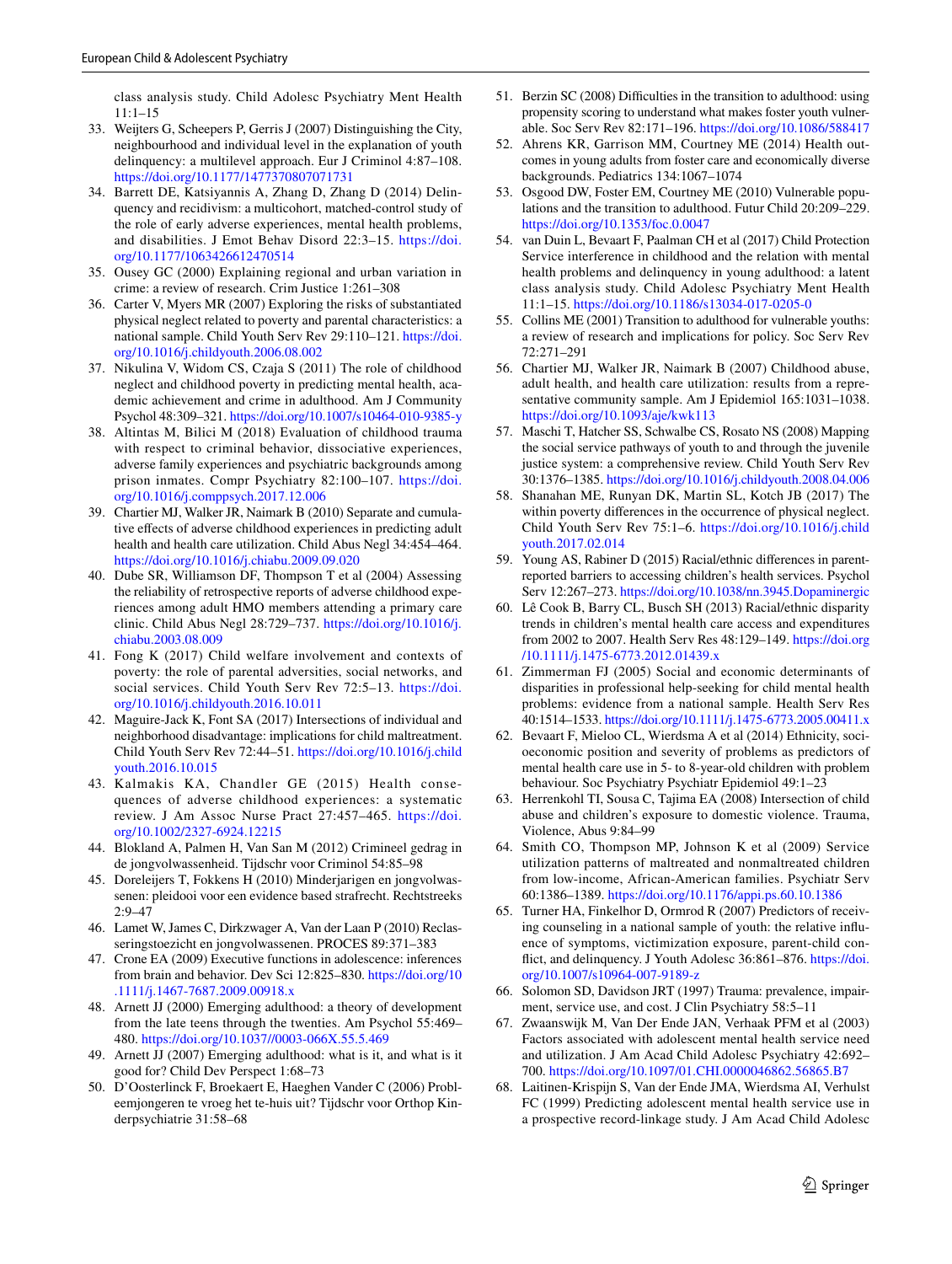class analysis study. Child Adolesc Psychiatry Ment Health 11:1–15

- <span id="page-12-0"></span>33. Weijters G, Scheepers P, Gerris J (2007) Distinguishing the City, neighbourhood and individual level in the explanation of youth delinquency: a multilevel approach. Eur J Criminol 4:87–108. <https://doi.org/10.1177/1477370807071731>
- <span id="page-12-1"></span>34. Barrett DE, Katsiyannis A, Zhang D, Zhang D (2014) Delinquency and recidivism: a multicohort, matched-control study of the role of early adverse experiences, mental health problems, and disabilities. J Emot Behav Disord 22:3–15. [https://doi.](https://doi.org/10.1177/1063426612470514) [org/10.1177/1063426612470514](https://doi.org/10.1177/1063426612470514)
- <span id="page-12-2"></span>35. Ousey GC (2000) Explaining regional and urban variation in crime: a review of research. Crim Justice 1:261–308
- <span id="page-12-3"></span>36. Carter V, Myers MR (2007) Exploring the risks of substantiated physical neglect related to poverty and parental characteristics: a national sample. Child Youth Serv Rev 29:110–121. [https://doi.](https://doi.org/10.1016/j.childyouth.2006.08.002) [org/10.1016/j.childyouth.2006.08.002](https://doi.org/10.1016/j.childyouth.2006.08.002)
- <span id="page-12-4"></span>37. Nikulina V, Widom CS, Czaja S (2011) The role of childhood neglect and childhood poverty in predicting mental health, academic achievement and crime in adulthood. Am J Community Psychol 48:309–321.<https://doi.org/10.1007/s10464-010-9385-y>
- <span id="page-12-5"></span>38. Altintas M, Bilici M (2018) Evaluation of childhood trauma with respect to criminal behavior, dissociative experiences, adverse family experiences and psychiatric backgrounds among prison inmates. Compr Psychiatry 82:100–107. [https://doi.](https://doi.org/10.1016/j.comppsych.2017.12.006) [org/10.1016/j.comppsych.2017.12.006](https://doi.org/10.1016/j.comppsych.2017.12.006)
- <span id="page-12-6"></span>39. Chartier MJ, Walker JR, Naimark B (2010) Separate and cumulative efects of adverse childhood experiences in predicting adult health and health care utilization. Child Abus Negl 34:454–464. <https://doi.org/10.1016/j.chiabu.2009.09.020>
- <span id="page-12-7"></span>40. Dube SR, Williamson DF, Thompson T et al (2004) Assessing the reliability of retrospective reports of adverse childhood experiences among adult HMO members attending a primary care clinic. Child Abus Negl 28:729–737. [https://doi.org/10.1016/j.](https://doi.org/10.1016/j.chiabu.2003.08.009) [chiabu.2003.08.009](https://doi.org/10.1016/j.chiabu.2003.08.009)
- <span id="page-12-8"></span>41. Fong K (2017) Child welfare involvement and contexts of poverty: the role of parental adversities, social networks, and social services. Child Youth Serv Rev 72:5–13. [https://doi.](https://doi.org/10.1016/j.childyouth.2016.10.011) [org/10.1016/j.childyouth.2016.10.011](https://doi.org/10.1016/j.childyouth.2016.10.011)
- <span id="page-12-9"></span>42. Maguire-Jack K, Font SA (2017) Intersections of individual and neighborhood disadvantage: implications for child maltreatment. Child Youth Serv Rev 72:44–51. [https://doi.org/10.1016/j.child](https://doi.org/10.1016/j.childyouth.2016.10.015) [youth.2016.10.015](https://doi.org/10.1016/j.childyouth.2016.10.015)
- <span id="page-12-10"></span>43. Kalmakis KA, Chandler GE (2015) Health consequences of adverse childhood experiences: a systematic review. J Am Assoc Nurse Pract 27:457–465. [https://doi.](https://doi.org/10.1002/2327-6924.12215) [org/10.1002/2327-6924.12215](https://doi.org/10.1002/2327-6924.12215)
- <span id="page-12-11"></span>44. Blokland A, Palmen H, Van San M (2012) Crimineel gedrag in de jongvolwassenheid. Tijdschr voor Criminol 54:85–98
- 45. Doreleijers T, Fokkens H (2010) Minderjarigen en jongvolwassenen: pleidooi voor een evidence based strafrecht. Rechtstreeks 2:9–47
- <span id="page-12-12"></span>46. Lamet W, James C, Dirkzwager A, Van der Laan P (2010) Reclasseringstoezicht en jongvolwassenen. PROCES 89:371–383
- <span id="page-12-13"></span>47. Crone EA (2009) Executive functions in adolescence: inferences from brain and behavior. Dev Sci 12:825–830. [https://doi.org/10](https://doi.org/10.1111/j.1467-7687.2009.00918.x) [.1111/j.1467-7687.2009.00918.x](https://doi.org/10.1111/j.1467-7687.2009.00918.x)
- <span id="page-12-14"></span>48. Arnett JJ (2000) Emerging adulthood: a theory of development from the late teens through the twenties. Am Psychol 55:469– 480. <https://doi.org/10.1037//0003-066X.55.5.469>
- 49. Arnett JJ (2007) Emerging adulthood: what is it, and what is it good for? Child Dev Perspect 1:68–73
- <span id="page-12-15"></span>50. D'Oosterlinck F, Broekaert E, Haeghen Vander C (2006) Probleemjongeren te vroeg het te-huis uit? Tijdschr voor Orthop Kinderpsychiatrie 31:58–68
- <span id="page-12-16"></span>51. Berzin SC (2008) Difficulties in the transition to adulthood: using propensity scoring to understand what makes foster youth vulnerable. Soc Serv Rev 82:171–196.<https://doi.org/10.1086/588417>
- 52. Ahrens KR, Garrison MM, Courtney ME (2014) Health outcomes in young adults from foster care and economically diverse backgrounds. Pediatrics 134:1067–1074
- <span id="page-12-19"></span>53. Osgood DW, Foster EM, Courtney ME (2010) Vulnerable populations and the transition to adulthood. Futur Child 20:209–229. <https://doi.org/10.1353/foc.0.0047>
- <span id="page-12-31"></span>54. van Duin L, Bevaart F, Paalman CH et al (2017) Child Protection Service interference in childhood and the relation with mental health problems and delinquency in young adulthood: a latent class analysis study. Child Adolesc Psychiatry Ment Health 11:1–15.<https://doi.org/10.1186/s13034-017-0205-0>
- <span id="page-12-17"></span>55. Collins ME (2001) Transition to adulthood for vulnerable youths: a review of research and implications for policy. Soc Serv Rev 72:271–291
- <span id="page-12-18"></span>56. Chartier MJ, Walker JR, Naimark B (2007) Childhood abuse, adult health, and health care utilization: results from a representative community sample. Am J Epidemiol 165:1031–1038. <https://doi.org/10.1093/aje/kwk113>
- <span id="page-12-20"></span>57. Maschi T, Hatcher SS, Schwalbe CS, Rosato NS (2008) Mapping the social service pathways of youth to and through the juvenile justice system: a comprehensive review. Child Youth Serv Rev 30:1376–1385. <https://doi.org/10.1016/j.childyouth.2008.04.006>
- <span id="page-12-21"></span>58. Shanahan ME, Runyan DK, Martin SL, Kotch JB (2017) The within poverty diferences in the occurrence of physical neglect. Child Youth Serv Rev 75:1–6. [https://doi.org/10.1016/j.child](https://doi.org/10.1016/j.childyouth.2017.02.014) [youth.2017.02.014](https://doi.org/10.1016/j.childyouth.2017.02.014)
- <span id="page-12-23"></span>59. Young AS, Rabiner D (2015) Racial/ethnic diferences in parentreported barriers to accessing children's health services. Psychol Serv 12:267–273.<https://doi.org/10.1038/nn.3945.Dopaminergic>
- 60. Lê Cook B, Barry CL, Busch SH (2013) Racial/ethnic disparity trends in children's mental health care access and expenditures from 2002 to 2007. Health Serv Res 48:129–149. [https://doi.org](https://doi.org/10.1111/j.1475-6773.2012.01439.x) [/10.1111/j.1475-6773.2012.01439.x](https://doi.org/10.1111/j.1475-6773.2012.01439.x)
- <span id="page-12-22"></span>61. Zimmerman FJ (2005) Social and economic determinants of disparities in professional help-seeking for child mental health problems: evidence from a national sample. Health Serv Res 40:1514–1533.<https://doi.org/10.1111/j.1475-6773.2005.00411.x>
- <span id="page-12-24"></span>62. Bevaart F, Mieloo CL, Wierdsma A et al (2014) Ethnicity, socioeconomic position and severity of problems as predictors of mental health care use in 5- to 8-year-old children with problem behaviour. Soc Psychiatry Psychiatr Epidemiol 49:1–23
- <span id="page-12-25"></span>Herrenkohl TI, Sousa C, Tajima EA (2008) Intersection of child abuse and children's exposure to domestic violence. Trauma, Violence, Abus 9:84–99
- <span id="page-12-26"></span>64. Smith CO, Thompson MP, Johnson K et al (2009) Service utilization patterns of maltreated and nonmaltreated children from low-income, African-American families. Psychiatr Serv 60:1386–1389.<https://doi.org/10.1176/appi.ps.60.10.1386>
- <span id="page-12-27"></span>65. Turner HA, Finkelhor D, Ormrod R (2007) Predictors of receiving counseling in a national sample of youth: the relative infuence of symptoms, victimization exposure, parent-child confict, and delinquency. J Youth Adolesc 36:861–876. [https://doi.](https://doi.org/10.1007/s10964-007-9189-z) [org/10.1007/s10964-007-9189-z](https://doi.org/10.1007/s10964-007-9189-z)
- <span id="page-12-28"></span>66. Solomon SD, Davidson JRT (1997) Trauma: prevalence, impairment, service use, and cost. J Clin Psychiatry 58:5–11
- <span id="page-12-29"></span>67. Zwaanswijk M, Van Der Ende JAN, Verhaak PFM et al (2003) Factors associated with adolescent mental health service need and utilization. J Am Acad Child Adolesc Psychiatry 42:692– 700. <https://doi.org/10.1097/01.CHI.0000046862.56865.B7>
- <span id="page-12-30"></span>68. Laitinen-Krispijn S, Van der Ende JMA, Wierdsma AI, Verhulst FC (1999) Predicting adolescent mental health service use in a prospective record-linkage study. J Am Acad Child Adolesc